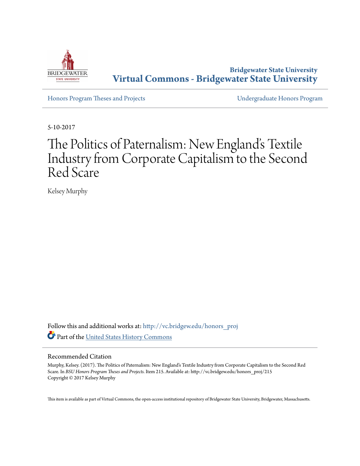

**Bridgewater State University [Virtual Commons - Bridgewater State University](http://vc.bridgew.edu?utm_source=vc.bridgew.edu%2Fhonors_proj%2F215&utm_medium=PDF&utm_campaign=PDFCoverPages)**

[Honors Program Theses and Projects](http://vc.bridgew.edu/honors_proj?utm_source=vc.bridgew.edu%2Fhonors_proj%2F215&utm_medium=PDF&utm_campaign=PDFCoverPages) [Undergraduate Honors Program](http://vc.bridgew.edu/honors?utm_source=vc.bridgew.edu%2Fhonors_proj%2F215&utm_medium=PDF&utm_campaign=PDFCoverPages)

5-10-2017

# The Politics of Paternalism: New England's Textile Industry from Corporate Capitalism to the Second Red Scare

Kelsey Murphy

Follow this and additional works at: [http://vc.bridgew.edu/honors\\_proj](http://vc.bridgew.edu/honors_proj?utm_source=vc.bridgew.edu%2Fhonors_proj%2F215&utm_medium=PDF&utm_campaign=PDFCoverPages) Part of the [United States History Commons](http://network.bepress.com/hgg/discipline/495?utm_source=vc.bridgew.edu%2Fhonors_proj%2F215&utm_medium=PDF&utm_campaign=PDFCoverPages)

# Recommended Citation

Murphy, Kelsey. (2017). The Politics of Paternalism: New England's Textile Industry from Corporate Capitalism to the Second Red Scare. In *BSU Honors Program Theses and Projects.* Item 215. Available at: http://vc.bridgew.edu/honors\_proj/215 Copyright © 2017 Kelsey Murphy

This item is available as part of Virtual Commons, the open-access institutional repository of Bridgewater State University, Bridgewater, Massachusetts.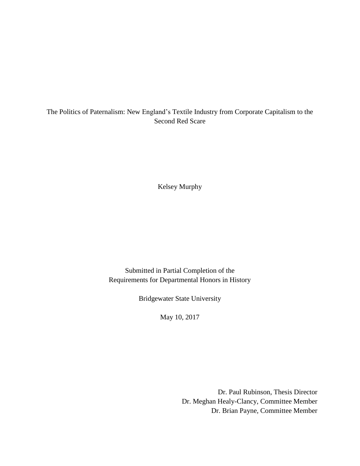# The Politics of Paternalism: New England's Textile Industry from Corporate Capitalism to the Second Red Scare

Kelsey Murphy

Submitted in Partial Completion of the Requirements for Departmental Honors in History

Bridgewater State University

May 10, 2017

Dr. Paul Rubinson, Thesis Director Dr. Meghan Healy-Clancy, Committee Member Dr. Brian Payne, Committee Member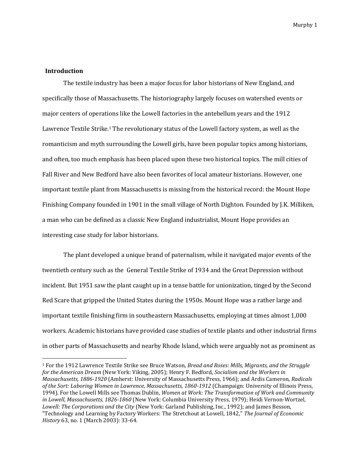# **Introduction**

 $\overline{a}$ 

The textile industry has been a major focus for labor historians of New England, and specifically those of Massachusetts. The historiography largely focuses on watershed events or major centers of operations like the Lowell factories in the antebellum years and the 1912 Lawrence Textile Strike.<sup>1</sup> The revolutionary status of the Lowell factory system, as well as the romanticism and myth surrounding the Lowell girls, have been popular topics among historians, and often, too much emphasis has been placed upon these two historical topics. The mill cities of Fall River and New Bedford have also been favorites of local amateur historians. However, one important textile plant from Massachusetts is missing from the historical record: the Mount Hope Finishing Company founded in 1901 in the small village of North Dighton. Founded by J.K. Milliken, a man who can be defined as a classic New England industrialist, Mount Hope provides an interesting case study for labor historians.

The plant developed a unique brand of paternalism, while it navigated major events of the twentieth century such as the General Textile Strike of 1934 and the Great Depression without incident. But 1951 saw the plant caught up in a tense battle for unionization, tinged by the Second Red Scare that gripped the United States during the 1950s. Mount Hope was a rather large and important textile finishing firm in southeastern Massachusetts, employing at times almost 1,000 workers. Academic historians have provided case studies of textile plants and other industrial firms in other parts of Massachusetts and nearby Rhode Island, which were arguably not as prominent as

<sup>1</sup> For the 1912 Lawrence Textile Strike see Bruce Watson, *Bread and Roses: Mills, Migrants, and the Struggle for the American Dream* (New York: Viking, 2005); Henry F. Bedford, *Socialism and the Workers in Massachusetts, 1886-1920* (Amherst: University of Massachusetts Press, 1966); and Ardis Cameron, *Radicals of the Sort: Laboring Women in Lawrence, Massachusetts, 1860-1912* (Champaign: University of Illinois Press, 1994). For the Lowell Mills see Thomas Dublin, *Women at Work: The Transformation of Work and Community in Lowell, Massachusetts, 1826-1860* (New York: Columbia University Press, 1979); Heidi Vernon-Wortzel, *Lowell: The Corporations and the City* (New York: Garland Publishing, Inc., 1992); and James Besson, "Technology and Learning by Factory Workers: The Stretchout at Lowell, 1842," *The Journal of Economic History* 63, no. 1 (March 2003): 33-64.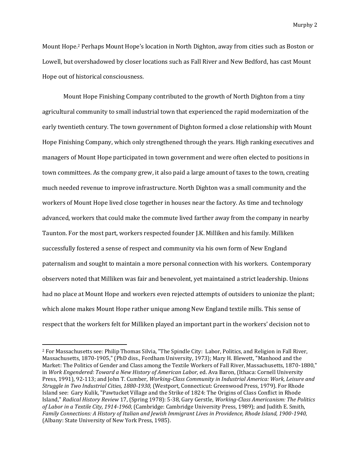Mount Hope.<sup>2</sup> Perhaps Mount Hope's location in North Dighton, away from cities such as Boston or Lowell, but overshadowed by closer locations such as Fall River and New Bedford, has cast Mount Hope out of historical consciousness.

Mount Hope Finishing Company contributed to the growth of North Dighton from a tiny agricultural community to small industrial town that experienced the rapid modernization of the early twentieth century. The town government of Dighton formed a close relationship with Mount Hope Finishing Company, which only strengthened through the years. High ranking executives and managers of Mount Hope participated in town government and were often elected to positions in town committees. As the company grew, it also paid a large amount of taxes to the town, creating much needed revenue to improve infrastructure. North Dighton was a small community and the workers of Mount Hope lived close together in houses near the factory. As time and technology advanced, workers that could make the commute lived farther away from the company in nearby Taunton. For the most part, workers respected founder J.K. Milliken and his family. Milliken successfully fostered a sense of respect and community via his own form of New England paternalism and sought to maintain a more personal connection with his workers. Contemporary observers noted that Milliken was fair and benevolent, yet maintained a strict leadership. Unions had no place at Mount Hope and workers even rejected attempts of outsiders to unionize the plant; which alone makes Mount Hope rather unique among New England textile mills. This sense of respect that the workers felt for Milliken played an important part in the workers' decision not to

<sup>2</sup> For Massachusetts see: Philip Thomas Silvia, "The Spindle City: Labor, Politics, and Religion in Fall River, Massachusetts, 1870-1905," (PhD diss., Fordham University, 1973); Mary H. Blewett, "Manhood and the Market: The Politics of Gender and Class among the Textile Workers of Fall River, Massachusetts, 1870-1880," in *Work Engendered: Toward a New History of American Labor,* ed. Ava Baron, (Ithaca: Cornell University Press, 1991), 92-113; and John T. Cumber, *Working-Class Community in Industrial America: Work, Leisure and Struggle in Two Industrial Cities, 1880-1930,* (Westport, Connecticut: Greenwood Press, 1979). For Rhode Island see: Gary Kulik, "Pawtucket Village and the Strike of 1824: The Origins of Class Conflict in Rhode Island," *Radical History Review* 17, (Spring 1978): 5-38, Gary Gerstle, *Working-Class Americanism: The Politics of Labor in a Textile City, 1914-1960,* (Cambridge: Cambridge University Press, 1989); and Judith E. Smith, *Family Connections: A History of Italian and Jewish Immigrant Lives in Providence, Rhode Island, 1900-1940,*  (Albany: State University of New York Press, 1985).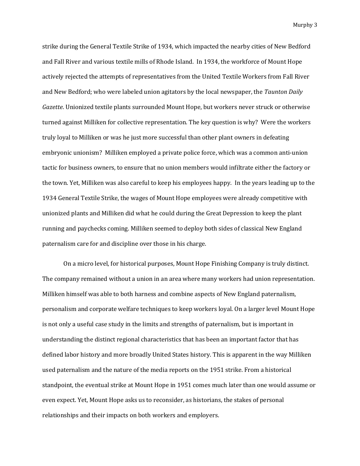strike during the General Textile Strike of 1934, which impacted the nearby cities of New Bedford and Fall River and various textile mills of Rhode Island. In 1934, the workforce of Mount Hope actively rejected the attempts of representatives from the United Textile Workers from Fall River and New Bedford; who were labeled union agitators by the local newspaper, the *Taunton Daily Gazette*. Unionized textile plants surrounded Mount Hope, but workers never struck or otherwise turned against Milliken for collective representation. The key question is why? Were the workers truly loyal to Milliken or was he just more successful than other plant owners in defeating embryonic unionism? Milliken employed a private police force, which was a common anti-union tactic for business owners, to ensure that no union members would infiltrate either the factory or the town. Yet, Milliken was also careful to keep his employees happy. In the years leading up to the 1934 General Textile Strike, the wages of Mount Hope employees were already competitive with unionized plants and Milliken did what he could during the Great Depression to keep the plant running and paychecks coming. Milliken seemed to deploy both sides of classical New England paternalism care for and discipline over those in his charge.

On a micro level, for historical purposes, Mount Hope Finishing Company is truly distinct. The company remained without a union in an area where many workers had union representation. Milliken himself was able to both harness and combine aspects of New England paternalism, personalism and corporate welfare techniques to keep workers loyal. On a larger level Mount Hope is not only a useful case study in the limits and strengths of paternalism, but is important in understanding the distinct regional characteristics that has been an important factor that has defined labor history and more broadly United States history. This is apparent in the way Milliken used paternalism and the nature of the media reports on the 1951 strike. From a historical standpoint, the eventual strike at Mount Hope in 1951 comes much later than one would assume or even expect. Yet, Mount Hope asks us to reconsider, as historians, the stakes of personal relationships and their impacts on both workers and employers.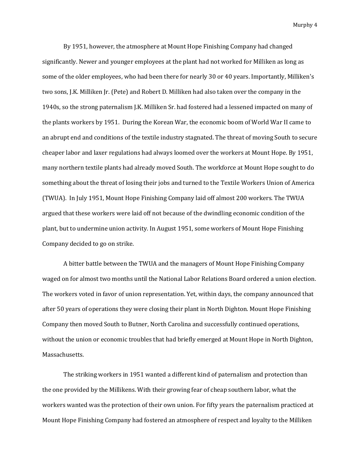By 1951, however, the atmosphere at Mount Hope Finishing Company had changed significantly. Newer and younger employees at the plant had not worked for Milliken as long as some of the older employees, who had been there for nearly 30 or 40 years. Importantly, Milliken's two sons, J.K. Milliken Jr. (Pete) and Robert D. Milliken had also taken over the company in the 1940s, so the strong paternalism J.K. Milliken Sr. had fostered had a lessened impacted on many of the plants workers by 1951. During the Korean War, the economic boom of World War II came to an abrupt end and conditions of the textile industry stagnated. The threat of moving South to secure cheaper labor and laxer regulations had always loomed over the workers at Mount Hope. By 1951, many northern textile plants had already moved South. The workforce at Mount Hope sought to do something about the threat of losing their jobs and turned to the Textile Workers Union of America (TWUA). In July 1951, Mount Hope Finishing Company laid off almost 200 workers. The TWUA argued that these workers were laid off not because of the dwindling economic condition of the plant, but to undermine union activity. In August 1951, some workers of Mount Hope Finishing Company decided to go on strike.

A bitter battle between the TWUA and the managers of Mount Hope Finishing Company waged on for almost two months until the National Labor Relations Board ordered a union election. The workers voted in favor of union representation. Yet, within days, the company announced that after 50 years of operations they were closing their plant in North Dighton. Mount Hope Finishing Company then moved South to Butner, North Carolina and successfully continued operations, without the union or economic troubles that had briefly emerged at Mount Hope in North Dighton, Massachusetts.

The striking workers in 1951 wanted a different kind of paternalism and protection than the one provided by the Millikens. With their growing fear of cheap southern labor, what the workers wanted was the protection of their own union. For fifty years the paternalism practiced at Mount Hope Finishing Company had fostered an atmosphere of respect and loyalty to the Milliken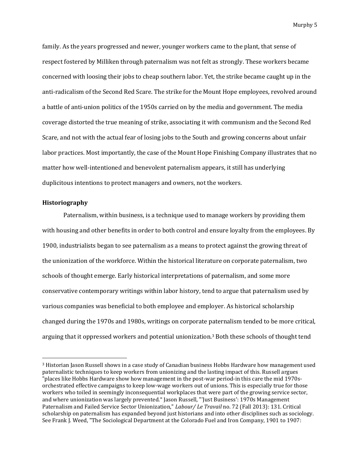family. As the years progressed and newer, younger workers came to the plant, that sense of respect fostered by Milliken through paternalism was not felt as strongly. These workers became concerned with loosing their jobs to cheap southern labor. Yet, the strike became caught up in the anti-radicalism of the Second Red Scare. The strike for the Mount Hope employees, revolved around a battle of anti-union politics of the 1950s carried on by the media and government. The media coverage distorted the true meaning of strike, associating it with communism and the Second Red Scare, and not with the actual fear of losing jobs to the South and growing concerns about unfair labor practices. Most importantly, the case of the Mount Hope Finishing Company illustrates that no matter how well-intentioned and benevolent paternalism appears, it still has underlying duplicitous intentions to protect managers and owners, not the workers.

# **Historiography**

 $\overline{\phantom{a}}$ 

Paternalism, within business, is a technique used to manage workers by providing them with housing and other benefits in order to both control and ensure loyalty from the employees. By 1900, industrialists began to see paternalism as a means to protect against the growing threat of the unionization of the workforce. Within the historical literature on corporate paternalism, two schools of thought emerge. Early historical interpretations of paternalism, and some more conservative contemporary writings within labor history, tend to argue that paternalism used by various companies was beneficial to both employee and employer. As historical scholarship changed during the 1970s and 1980s, writings on corporate paternalism tended to be more critical, arguing that it oppressed workers and potential unionization.<sup>3</sup> Both these schools of thought tend

<sup>&</sup>lt;sup>3</sup> Historian Jason Russell shows in a case study of Canadian business Hobbs Hardware how management used paternalistic techniques to keep workers from unionizing and the lasting impact of this. Russell argues "places like Hobbs Hardware show how management in the post-war period-in this care the mid 1970sorchestrated effective campaigns to keep low-wage workers out of unions. This is especially true for those workers who toiled in seemingly inconsequential workplaces that were part of the growing service sector, and where unionization was largely prevented." Jason Russell, "'Just Business': 1970s Management Paternalism and Failed Service Sector Unionization," *Labour/ Le Travail* no. 72 (Fall 2013): 131. Critical scholarship on paternalism has expanded beyond just historians and into other disciplines such as sociology. See Frank J. Weed, "The Sociological Department at the Colorado Fuel and Iron Company, 1901 to 1907: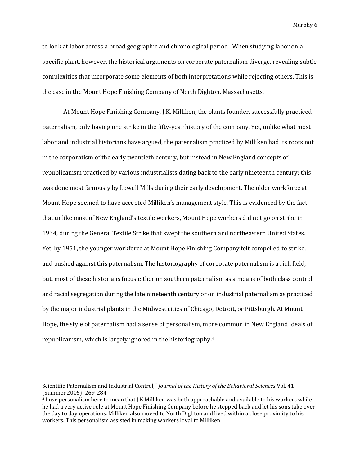to look at labor across a broad geographic and chronological period. When studying labor on a specific plant, however, the historical arguments on corporate paternalism diverge, revealing subtle complexities that incorporate some elements of both interpretations while rejecting others. This is the case in the Mount Hope Finishing Company of North Dighton, Massachusetts.

At Mount Hope Finishing Company, J.K. Milliken, the plants founder, successfully practiced paternalism, only having one strike in the fifty-year history of the company. Yet, unlike what most labor and industrial historians have argued, the paternalism practiced by Milliken had its roots not in the corporatism of the early twentieth century, but instead in New England concepts of republicanism practiced by various industrialists dating back to the early nineteenth century; this was done most famously by Lowell Mills during their early development. The older workforce at Mount Hope seemed to have accepted Milliken's management style. This is evidenced by the fact that unlike most of New England's textile workers, Mount Hope workers did not go on strike in 1934, during the General Textile Strike that swept the southern and northeastern United States. Yet, by 1951, the younger workforce at Mount Hope Finishing Company felt compelled to strike, and pushed against this paternalism. The historiography of corporate paternalism is a rich field, but, most of these historians focus either on southern paternalism as a means of both class control and racial segregation during the late nineteenth century or on industrial paternalism as practiced by the major industrial plants in the Midwest cities of Chicago, Detroit, or Pittsburgh. At Mount Hope, the style of paternalism had a sense of personalism, more common in New England ideals of republicanism, which is largely ignored in the historiography.<sup>4</sup>

Scientific Paternalism and Industrial Control," *Journal of the History of the Behavioral Sciences* Vol. 41 (Summer 2005): 269-284.

<sup>4</sup> I use personalism here to mean that J.K Milliken was both approachable and available to his workers while he had a very active role at Mount Hope Finishing Company before he stepped back and let his sons take over the day to day operations. Milliken also moved to North Dighton and lived within a close proximity to his workers. This personalism assisted in making workers loyal to Milliken.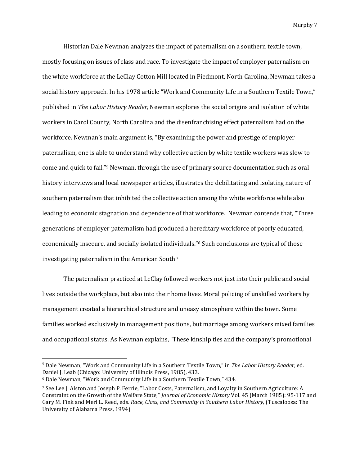Historian Dale Newman analyzes the impact of paternalism on a southern textile town, mostly focusing on issues of class and race. To investigate the impact of employer paternalism on the white workforce at the LeClay Cotton Mill located in Piedmont, North Carolina, Newman takes a social history approach. In his 1978 article "Work and Community Life in a Southern Textile Town," published in *The Labor History Reader,* Newman explores the social origins and isolation of white workers in Carol County, North Carolina and the disenfranchising effect paternalism had on the workforce. Newman's main argument is, "By examining the power and prestige of employer paternalism, one is able to understand why collective action by white textile workers was slow to come and quick to fail."<sup>5</sup> Newman, through the use of primary source documentation such as oral history interviews and local newspaper articles, illustrates the debilitating and isolating nature of southern paternalism that inhibited the collective action among the white workforce while also leading to economic stagnation and dependence of that workforce. Newman contends that, "Three generations of employer paternalism had produced a hereditary workforce of poorly educated, economically insecure, and socially isolated individuals."<sup>6</sup> Such conclusions are typical of those investigating paternalism in the American South.<sup>7</sup>

The paternalism practiced at LeClay followed workers not just into their public and social lives outside the workplace, but also into their home lives. Moral policing of unskilled workers by management created a hierarchical structure and uneasy atmosphere within the town. Some families worked exclusively in management positions, but marriage among workers mixed families and occupational status. As Newman explains, "These kinship ties and the company's promotional

<sup>5</sup> Dale Newman, "Work and Community Life in a Southern Textile Town," in *The Labor History Reader*, ed. Daniel J. Leab (Chicago: University of Illinois Press, 1985), 433.

<sup>6</sup> Dale Newman, "Work and Community Life in a Southern Textile Town," 434.

<sup>7</sup> See Lee J. Alston and Joseph P. Ferrie, "Labor Costs, Paternalism, and Loyalty in Southern Agriculture: A Constraint on the Growth of the Welfare State," *Journal of Economic History* Vol. 45 (March 1985): 95-117 and Gary M. Fink and Merl L. Reed, eds. *Race, Class, and Community in Southern Labor History,* (Tuscaloosa: The University of Alabama Press, 1994).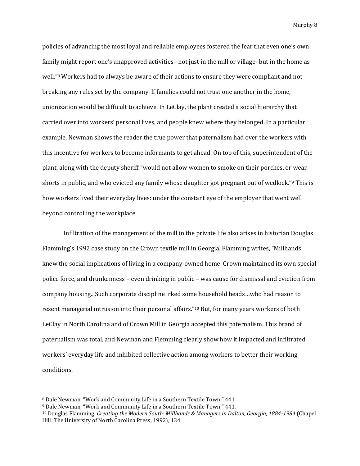policies of advancing the most loyal and reliable employees fostered the fear that even one's own family might report one's unapproved activities –not just in the mill or village- but in the home as well."<sup>8</sup> Workers had to always be aware of their actions to ensure they were compliant and not breaking any rules set by the company. If families could not trust one another in the home, unionization would be difficult to achieve. In LeClay, the plant created a social hierarchy that carried over into workers' personal lives, and people knew where they belonged. In a particular example, Newman shows the reader the true power that paternalism had over the workers with this incentive for workers to become informants to get ahead. On top of this, superintendent of the plant, along with the deputy sheriff "would not allow women to smoke on their porches, or wear shorts in public, and who evicted any family whose daughter got pregnant out of wedlock."<sup>9</sup> This is how workers lived their everyday lives: under the constant eye of the employer that went well beyond controlling the workplace.

Infiltration of the management of the mill in the private life also arises in historian Douglas Flamming's 1992 case study on the Crown textile mill in Georgia. Flamming writes, "Millhands knew the social implications of living in a company-owned home. Crown maintained its own special police force, and drunkenness – even drinking in public – was cause for dismissal and eviction from company housing...Such corporate discipline irked some household heads…who had reason to resent managerial intrusion into their personal affairs."<sup>10</sup> But, for many years workers of both LeClay in North Carolina and of Crown Mill in Georgia accepted this paternalism. This brand of paternalism was total, and Newman and Flemming clearly show how it impacted and infiltrated workers' everyday life and inhibited collective action among workers to better their working conditions.

<sup>8</sup> Dale Newman, "Work and Community Life in a Southern Textile Town," 441.

<sup>9</sup> Dale Newman, "Work and Community Life in a Southern Textile Town," 441.

<sup>10</sup> Douglas Flamming, *Creating the Modern South: Millhands & Managers in Dalton, Georgia, 1884-1984* (Chapel Hill: The University of North Carolina Press, 1992), 134.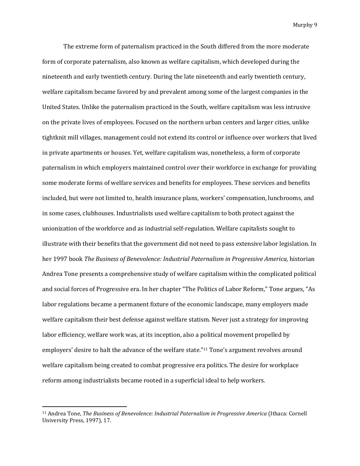The extreme form of paternalism practiced in the South differed from the more moderate form of corporate paternalism, also known as welfare capitalism, which developed during the nineteenth and early twentieth century. During the late nineteenth and early twentieth century, welfare capitalism became favored by and prevalent among some of the largest companies in the United States. Unlike the paternalism practiced in the South, welfare capitalism was less intrusive on the private lives of employees. Focused on the northern urban centers and larger cities, unlike tightknit mill villages, management could not extend its control or influence over workers that lived in private apartments or houses. Yet, welfare capitalism was, nonetheless, a form of corporate paternalism in which employers maintained control over their workforce in exchange for providing some moderate forms of welfare services and benefits for employees. These services and benefits included, but were not limited to, health insurance plans, workers' compensation, lunchrooms, and in some cases, clubhouses. Industrialists used welfare capitalism to both protect against the unionization of the workforce and as industrial self-regulation. Welfare capitalists sought to illustrate with their benefits that the government did not need to pass extensive labor legislation. In her 1997 book *The Business of Benevolence: Industrial Paternalism in Progressive America,* historian Andrea Tone presents a comprehensive study of welfare capitalism within the complicated political and social forces of Progressive era. In her chapter "The Politics of Labor Reform," Tone argues, "As labor regulations became a permanent fixture of the economic landscape, many employers made welfare capitalism their best defense against welfare statism. Never just a strategy for improving labor efficiency, welfare work was, at its inception, also a political movement propelled by employers' desire to halt the advance of the welfare state."<sup>11</sup> Tone's argument revolves around welfare capitalism being created to combat progressive era politics. The desire for workplace reform among industrialists became rooted in a superficial ideal to help workers.

<sup>11</sup> Andrea Tone, *The Business of Benevolence: Industrial Paternalism in Progressive America* (Ithaca: Cornell University Press, 1997), 17.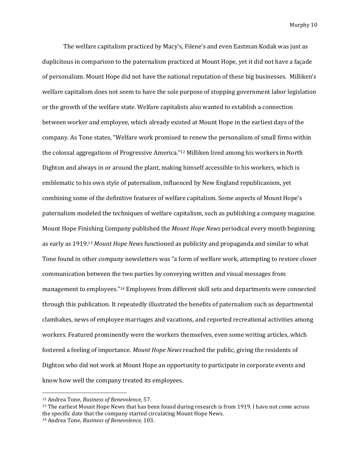The welfare capitalism practiced by Macy's, Filene's and even Eastman Kodak was just as duplicitous in comparison to the paternalism practiced at Mount Hope, yet it did not have a façade of personalism. Mount Hope did not have the national reputation of these big businesses. Milliken's welfare capitalism does not seem to have the sole purpose of stopping government labor legislation or the growth of the welfare state. Welfare capitalists also wanted to establish a connection between worker and employee, which already existed at Mount Hope in the earliest days of the company. As Tone states, "Welfare work promised to renew the personalism of small firms within the colossal aggregations of Progressive America."<sup>12</sup> Milliken lived among his workers in North Dighton and always in or around the plant, making himself accessible to his workers, which is emblematic to his own style of paternalism, influenced by New England republicanism, yet combining some of the definitive features of welfare capitalism. Some aspects of Mount Hope's paternalism modeled the techniques of welfare capitalism, such as publishing a company magazine. Mount Hope Finishing Company published the *Mount Hope News* periodical every month beginning as early as 1919.<sup>13</sup> *Mount Hope News* functioned as publicity and propaganda and similar to what Tone found in other company newsletters was "a form of welfare work, attempting to restore closer communication between the two parties by conveying written and visual messages from management to employees."<sup>14</sup> Employees from different skill sets and departments were connected through this publication. It repeatedly illustrated the benefits of paternalism such as departmental clambakes, news of employee marriages and vacations, and reported recreational activities among workers. Featured prominently were the workers themselves, even some writing articles, which fostered a feeling of importance. *Mount Hope News* reached the public, giving the residents of Dighton who did not work at Mount Hope an opportunity to participate in corporate events and know how well the company treated its employees.

<sup>12</sup> Andrea Tone, *Business of Benevolence,* 57.

<sup>&</sup>lt;sup>13</sup> The earliest Mount Hope News that has been found during research is from 1919. I have not come across the specific date that the company started circulating Mount Hope News.

<sup>14</sup> Andrea Tone, *Business of Benevolence,* 103.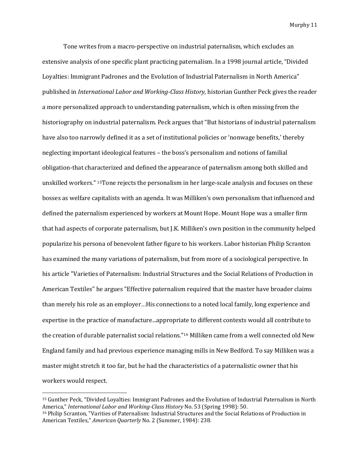Tone writes from a macro-perspective on industrial paternalism, which excludes an extensive analysis of one specific plant practicing paternalism. In a 1998 journal article, "Divided Loyalties: Immigrant Padrones and the Evolution of Industrial Paternalism in North America" published in *International Labor and Working-Class History,* historian Gunther Peck gives the reader a more personalized approach to understanding paternalism, which is often missing from the historiography on industrial paternalism. Peck argues that "But historians of industrial paternalism have also too narrowly defined it as a set of institutional policies or 'nonwage benefits,' thereby neglecting important ideological features – the boss's personalism and notions of familial obligation-that characterized and defined the appearance of paternalism among both skilled and unskilled workers." 15Tone rejects the personalism in her large-scale analysis and focuses on these bosses as welfare capitalists with an agenda. It was Milliken's own personalism that influenced and defined the paternalism experienced by workers at Mount Hope. Mount Hope was a smaller firm that had aspects of corporate paternalism, but J.K. Milliken's own position in the community helped popularize his persona of benevolent father figure to his workers. Labor historian Philip Scranton has examined the many variations of paternalism, but from more of a sociological perspective. In his article "Varieties of Paternalism: Industrial Structures and the Social Relations of Production in American Textiles" he argues "Effective paternalism required that the master have broader claims than merely his role as an employer...His connections to a noted local family, long experience and expertise in the practice of manufacture...appropriate to different contexts would all contribute to the creation of durable paternalist social relations."<sup>16</sup> Milliken came from a well connected old New England family and had previous experience managing mills in New Bedford. To say Milliken was a master might stretch it too far, but he had the characteristics of a paternalistic owner that his workers would respect.

<sup>15</sup> Gunther Peck, "Divided Loyalties: Immigrant Padrones and the Evolution of Industrial Paternalism in North America," *International Labor and Working-Class History* No. 53 (Spring 1998): 50.

<sup>16</sup> Philip Scranton, "Varities of Paternalism: Industrial Structures and the Social Relations of Production in American Textiles," *American Quarterly* No. 2 (Summer, 1984): 238.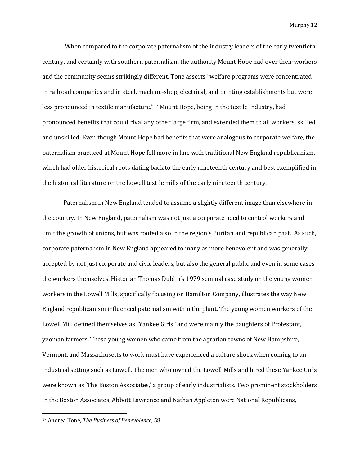When compared to the corporate paternalism of the industry leaders of the early twentieth century, and certainly with southern paternalism, the authority Mount Hope had over their workers and the community seems strikingly different. Tone asserts "welfare programs were concentrated in railroad companies and in steel, machine-shop, electrical, and printing establishments but were less pronounced in textile manufacture."<sup>17</sup> Mount Hope, being in the textile industry, had pronounced benefits that could rival any other large firm, and extended them to all workers, skilled and unskilled. Even though Mount Hope had benefits that were analogous to corporate welfare, the paternalism practiced at Mount Hope fell more in line with traditional New England republicanism, which had older historical roots dating back to the early nineteenth century and best exemplified in the historical literature on the Lowell textile mills of the early nineteenth century.

Paternalism in New England tended to assume a slightly different image than elsewhere in the country. In New England, paternalism was not just a corporate need to control workers and limit the growth of unions, but was rooted also in the region's Puritan and republican past. As such, corporate paternalism in New England appeared to many as more benevolent and was generally accepted by not just corporate and civic leaders, but also the general public and even in some cases the workers themselves. Historian Thomas Dublin's 1979 seminal case study on the young women workers in the Lowell Mills, specifically focusing on Hamilton Company, illustrates the way New England republicanism influenced paternalism within the plant. The young women workers of the Lowell Mill defined themselves as "Yankee Girls" and were mainly the daughters of Protestant, yeoman farmers. These young women who came from the agrarian towns of New Hampshire, Vermont, and Massachusetts to work must have experienced a culture shock when coming to an industrial setting such as Lowell. The men who owned the Lowell Mills and hired these Yankee Girls were known as 'The Boston Associates,' a group of early industrialists. Two prominent stockholders in the Boston Associates, Abbott Lawrence and Nathan Appleton were National Republicans,

<sup>17</sup> Andrea Tone, *The Business of Benevolence,* 58.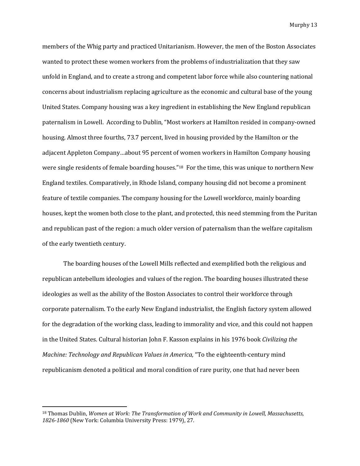members of the Whig party and practiced Unitarianism. However, the men of the Boston Associates wanted to protect these women workers from the problems of industrialization that they saw unfold in England, and to create a strong and competent labor force while also countering national concerns about industrialism replacing agriculture as the economic and cultural base of the young United States. Company housing was a key ingredient in establishing the New England republican paternalism in Lowell. According to Dublin, "Most workers at Hamilton resided in company-owned housing. Almost three fourths, 73.7 percent, lived in housing provided by the Hamilton or the adjacent Appleton Company…about 95 percent of women workers in Hamilton Company housing were single residents of female boarding houses."<sup>18</sup> For the time, this was unique to northern New England textiles. Comparatively, in Rhode Island, company housing did not become a prominent feature of textile companies. The company housing for the Lowell workforce, mainly boarding houses, kept the women both close to the plant, and protected, this need stemming from the Puritan and republican past of the region: a much older version of paternalism than the welfare capitalism of the early twentieth century.

The boarding houses of the Lowell Mills reflected and exemplified both the religious and republican antebellum ideologies and values of the region. The boarding houses illustrated these ideologies as well as the ability of the Boston Associates to control their workforce through corporate paternalism. To the early New England industrialist, the English factory system allowed for the degradation of the working class, leading to immorality and vice, and this could not happen in the United States. Cultural historian John F. Kasson explains in his 1976 book *Civilizing the Machine: Technology and Republican Values in America,* "To the eighteenth-century mind republicanism denoted a political and moral condition of rare purity, one that had never been

<sup>18</sup> Thomas Dublin, *Women at Work: The Transformation of Work and Community in Lowell, Massachusetts, 1826-1860* (New York: Columbia University Press: 1979), 27.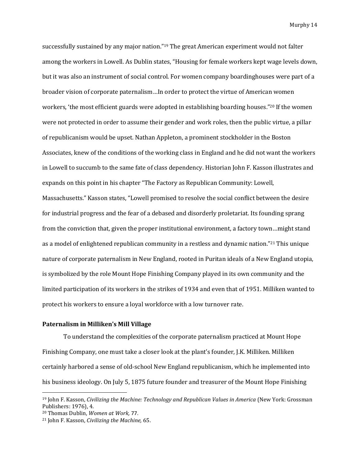successfully sustained by any major nation."<sup>19</sup> The great American experiment would not falter among the workers in Lowell. As Dublin states, "Housing for female workers kept wage levels down, but it was also an instrument of social control. For women company boardinghouses were part of a broader vision of corporate paternalism…In order to protect the virtue of American women workers, 'the most efficient guards were adopted in establishing boarding houses." <sup>20</sup> If the women were not protected in order to assume their gender and work roles, then the public virtue, a pillar of republicanism would be upset. Nathan Appleton, a prominent stockholder in the Boston Associates, knew of the conditions of the working class in England and he did not want the workers in Lowell to succumb to the same fate of class dependency. Historian John F. Kasson illustrates and expands on this point in his chapter "The Factory as Republican Community: Lowell, Massachusetts." Kasson states, "Lowell promised to resolve the social conflict between the desire for industrial progress and the fear of a debased and disorderly proletariat. Its founding sprang from the conviction that, given the proper institutional environment, a factory town…might stand as a model of enlightened republican community in a restless and dynamic nation."<sup>21</sup> This unique nature of corporate paternalism in New England, rooted in Puritan ideals of a New England utopia, is symbolized by the role Mount Hope Finishing Company played in its own community and the limited participation of its workers in the strikes of 1934 and even that of 1951. Milliken wanted to protect his workers to ensure a loyal workforce with a low turnover rate.

#### **Paternalism in Milliken's Mill Village**

To understand the complexities of the corporate paternalism practiced at Mount Hope Finishing Company, one must take a closer look at the plant's founder, J.K. Milliken. Milliken certainly harbored a sense of old-school New England republicanism, which he implemented into his business ideology. On July 5, 1875 future founder and treasurer of the Mount Hope Finishing

<sup>19</sup> John F. Kasson, *Civilizing the Machine: Technology and Republican Values in America* (New York: Grossman Publishers: 1976), 4.

<sup>20</sup> Thomas Dublin, *Women at Work,* 77.

<sup>21</sup> John F. Kasson, *Civilizing the Machine,* 65.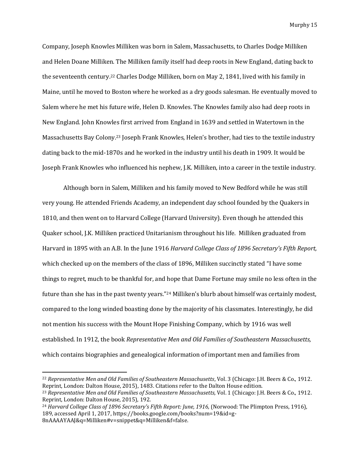Company, Joseph Knowles Milliken was born in Salem, Massachusetts, to Charles Dodge Milliken and Helen Doane Milliken. The Milliken family itself had deep roots in New England, dating back to the seventeenth century.<sup>22</sup> Charles Dodge Milliken, born on May 2, 1841, lived with his family in Maine, until he moved to Boston where he worked as a dry goods salesman. He eventually moved to Salem where he met his future wife, Helen D. Knowles. The Knowles family also had deep roots in New England. John Knowles first arrived from England in 1639 and settled in Watertown in the Massachusetts Bay Colony.<sup>23</sup> Joseph Frank Knowles, Helen's brother, had ties to the textile industry dating back to the mid-1870s and he worked in the industry until his death in 1909. It would be Joseph Frank Knowles who influenced his nephew, J.K. Milliken, into a career in the textile industry.

Although born in Salem, Milliken and his family moved to New Bedford while he was still very young. He attended Friends Academy, an independent day school founded by the Quakers in 1810, and then went on to Harvard College (Harvard University). Even though he attended this Quaker school, J.K. Milliken practiced Unitarianism throughout his life. Milliken graduated from Harvard in 1895 with an A.B. In the June 1916 *Harvard College Class of 1896 Secretary's Fifth Report,* which checked up on the members of the class of 1896, Milliken succinctly stated "I have some things to regret, much to be thankful for, and hope that Dame Fortune may smile no less often in the future than she has in the past twenty years."<sup>24</sup> Milliken's blurb about himself was certainly modest, compared to the long winded boasting done by the majority of his classmates. Interestingly, he did not mention his success with the Mount Hope Finishing Company, which by 1916 was well established. In 1912, the book *Representative Men and Old Families of Southeastern Massachusetts,*  which contains biographies and genealogical information of important men and families from

l

<sup>22</sup> *Representative Men and Old Families of Southeastern Massachusetts*, Vol. 3 (Chicago: J.H. Beers & Co., 1912. Reprint, London: Dalton House, 2015), 1483. Citations refer to the Dalton House edition.

<sup>23</sup> *Representative Men and Old Families of Southeastern Massachusetts,* Vol. 1 (Chicago: J.H. Beers & Co., 1912. Reprint, London: Dalton House, 2015), 192.

<sup>&</sup>lt;sup>24</sup> *Harvard College Class of 1896 Secretary's Fifth Report: June, 1916, (Norwood: The Plimpton Press, 1916),* 189, accessed April 1, 2017, https://books.google.com/books?num=19&id=g-8nAAAAYAAJ&q=Milliken#v=snippet&q=Milliken&f=false.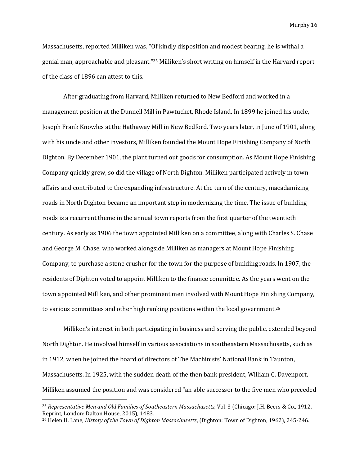Massachusetts, reported Milliken was, "Of kindly disposition and modest bearing, he is withal a genial man, approachable and pleasant."<sup>25</sup> Milliken's short writing on himself in the Harvard report of the class of 1896 can attest to this.

After graduating from Harvard, Milliken returned to New Bedford and worked in a management position at the Dunnell Mill in Pawtucket, Rhode Island. In 1899 he joined his uncle, Joseph Frank Knowles at the Hathaway Mill in New Bedford. Two years later, in June of 1901, along with his uncle and other investors, Milliken founded the Mount Hope Finishing Company of North Dighton. By December 1901, the plant turned out goods for consumption. As Mount Hope Finishing Company quickly grew, so did the village of North Dighton. Milliken participated actively in town affairs and contributed to the expanding infrastructure. At the turn of the century, macadamizing roads in North Dighton became an important step in modernizing the time. The issue of building roads is a recurrent theme in the annual town reports from the first quarter of the twentieth century. As early as 1906 the town appointed Milliken on a committee, along with Charles S. Chase and George M. Chase, who worked alongside Milliken as managers at Mount Hope Finishing Company, to purchase a stone crusher for the town for the purpose of building roads. In 1907, the residents of Dighton voted to appoint Milliken to the finance committee. As the years went on the town appointed Milliken, and other prominent men involved with Mount Hope Finishing Company, to various committees and other high ranking positions within the local government.<sup>26</sup>

Milliken's interest in both participating in business and serving the public, extended beyond North Dighton. He involved himself in various associations in southeastern Massachusetts, such as in 1912, when he joined the board of directors of The Machinists' National Bank in Taunton, Massachusetts. In 1925, with the sudden death of the then bank president, William C. Davenport, Milliken assumed the position and was considered "an able successor to the five men who preceded

<sup>25</sup> *Representative Men and Old Families of Southeastern Massachusetts,* Vol. 3 (Chicago: J.H. Beers & Co., 1912. Reprint, London: Dalton House, 2015), 1483.

<sup>26</sup> Helen H. Lane, *History of the Town of Dighton Massachusetts*, (Dighton: Town of Dighton, 1962), 245-246.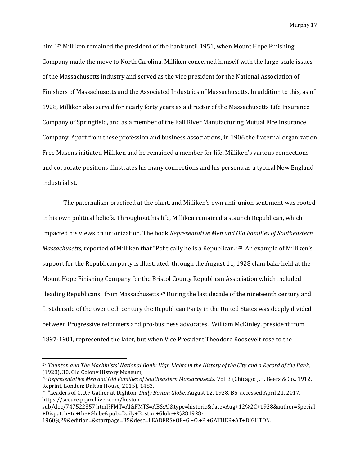him."<sup>27</sup> Milliken remained the president of the bank until 1951, when Mount Hope Finishing Company made the move to North Carolina. Milliken concerned himself with the large-scale issues of the Massachusetts industry and served as the vice president for the National Association of Finishers of Massachusetts and the Associated Industries of Massachusetts. In addition to this, as of 1928, Milliken also served for nearly forty years as a director of the Massachusetts Life Insurance Company of Springfield, and as a member of the Fall River Manufacturing Mutual Fire Insurance Company. Apart from these profession and business associations, in 1906 the fraternal organization Free Masons initiated Milliken and he remained a member for life. Milliken's various connections and corporate positions illustrates his many connections and his persona as a typical New England industrialist.

The paternalism practiced at the plant, and Milliken's own anti-union sentiment was rooted in his own political beliefs. Throughout his life, Milliken remained a staunch Republican, which impacted his views on unionization. The book *Representative Men and Old Families of Southeastern Massachusetts,* reported of Milliken that "Politically he is a Republican."<sup>28</sup> An example of Milliken's support for the Republican party is illustrated through the August 11, 1928 clam bake held at the Mount Hope Finishing Company for the Bristol County Republican Association which included "leading Republicans" from Massachusetts.<sup>29</sup> During the last decade of the nineteenth century and first decade of the twentieth century the Republican Party in the United States was deeply divided between Progressive reformers and pro-business advocates. William McKinley, president from 1897-1901, represented the later, but when Vice President Theodore Roosevelt rose to the

<sup>27</sup> *Taunton and The Machinists' National Bank: High Lights in the History of the City and a Record of the Bank,*  (1928), 30. Old Colony History Museum,

<sup>28</sup> *Representative Men and Old Families of Southeastern Massachusetts,* Vol. 3 (Chicago: J.H. Beers & Co., 1912. Reprint, London: Dalton House, 2015), 1483.

<sup>29</sup> "Leaders of G.O.P Gather at Dighton, *Daily Boston Globe,* August 12, 1928, B5, accessed April 21, 2017, https://secure.pqarchiver.com/boston-

sub/doc/747522357.html?FMT=AI&FMTS=ABS:AI&type=historic&date=Aug+12%2C+1928&author=Special +Dispatch+to+the+Globe&pub=Daily+Boston+Globe+%281928-

<sup>1960%29&</sup>amp;edition=&startpage=B5&desc=LEADERS+OF+G.+O.+P.+GATHER+AT+DIGHTON.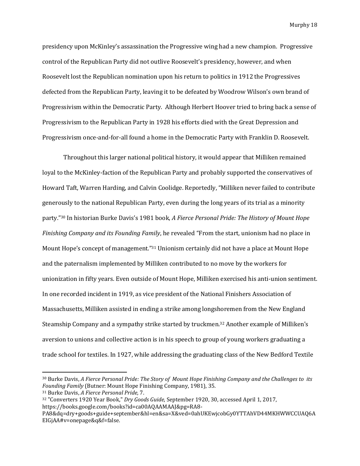presidency upon McKinley's assassination the Progressive wing had a new champion. Progressive control of the Republican Party did not outlive Roosevelt's presidency, however, and when Roosevelt lost the Republican nomination upon his return to politics in 1912 the Progressives defected from the Republican Party, leaving it to be defeated by Woodrow Wilson's own brand of Progressivism within the Democratic Party. Although Herbert Hoover tried to bring back a sense of Progressivism to the Republican Party in 1928 his efforts died with the Great Depression and Progressivism once-and-for-all found a home in the Democratic Party with Franklin D. Roosevelt.

Throughout this larger national political history, it would appear that Milliken remained loyal to the McKinley-faction of the Republican Party and probably supported the conservatives of Howard Taft, Warren Harding, and Calvin Coolidge. Reportedly, "Milliken never failed to contribute generously to the national Republican Party, even during the long years of its trial as a minority party."<sup>30</sup> In historian Burke Davis's 1981 book, *A Fierce Personal Pride: The History of Mount Hope Finishing Company and its Founding Family*, he revealed "From the start, unionism had no place in Mount Hope's concept of management."<sup>31</sup> Unionism certainly did not have a place at Mount Hope and the paternalism implemented by Milliken contributed to no move by the workers for unionization in fifty years. Even outside of Mount Hope, Milliken exercised his anti-union sentiment. In one recorded incident in 1919, as vice president of the National Finishers Association of Massachusetts, Milliken assisted in ending a strike among longshoremen from the New England Steamship Company and a sympathy strike started by truckmen.<sup>32</sup> Another example of Milliken's aversion to unions and collective action is in his speech to group of young workers graduating a trade school for textiles. In 1927, while addressing the graduating class of the New Bedford Textile

l

<sup>30</sup> Burke Davis, *A Fierce Personal Pride: The Story of Mount Hope Finishing Company and the Challenges to its Founding Family* (Butner: Mount Hope Finishing Company, 1981), 35.

<sup>31</sup> Burke Davis, *A Fierce Personal Pride,* 7.

<sup>32</sup> "Converters 1920 Year Book," *Dry Goods Guide*, September 1920, 30, accessed April 1, 2017, https://books.google.com/books?id=ca00AQAAMAAJ&pg=RA8-

PA8&dq=dry+goods+guide+september&hl=en&sa=X&ved=0ahUKEwjcobGy0YTTAhVD44MKHWWCCUAQ6A EIGjAA#v=onepage&q&f=false.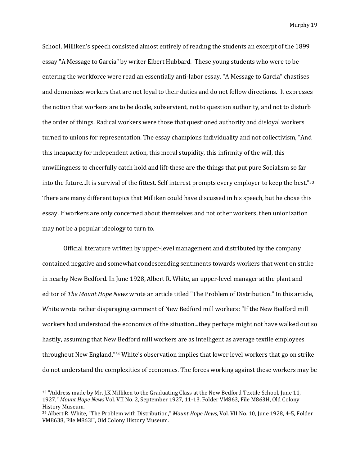School, Milliken's speech consisted almost entirely of reading the students an excerpt of the 1899 essay "A Message to Garcia" by writer Elbert Hubbard. These young students who were to be entering the workforce were read an essentially anti-labor essay. "A Message to Garcia" chastises and demonizes workers that are not loyal to their duties and do not follow directions. It expresses the notion that workers are to be docile, subservient, not to question authority, and not to disturb the order of things. Radical workers were those that questioned authority and disloyal workers turned to unions for representation. The essay champions individuality and not collectivism, "And this incapacity for independent action, this moral stupidity, this infirmity of the will, this unwillingness to cheerfully catch hold and lift-these are the things that put pure Socialism so far into the future...It is survival of the fittest. Self interest prompts every employer to keep the best."<sup>33</sup> There are many different topics that Milliken could have discussed in his speech, but he chose this essay. If workers are only concerned about themselves and not other workers, then unionization may not be a popular ideology to turn to.

Official literature written by upper-level management and distributed by the company contained negative and somewhat condescending sentiments towards workers that went on strike in nearby New Bedford. In June 1928, Albert R. White, an upper-level manager at the plant and editor of *The Mount Hope News* wrote an article titled "The Problem of Distribution." In this article, White wrote rather disparaging comment of New Bedford mill workers: "If the New Bedford mill workers had understood the economics of the situation...they perhaps might not have walked out so hastily, assuming that New Bedford mill workers are as intelligent as average textile employees throughout New England."<sup>34</sup> White's observation implies that lower level workers that go on strike do not understand the complexities of economics. The forces working against these workers may be

<sup>33</sup> "Address made by Mr. J.K Milliken to the Graduating Class at the New Bedford Textile School, June 11, 1927," *Mount Hope News* Vol. VII No. 2, September 1927, 11-13. Folder VM863, File M863H, Old Colony History Museum.

<sup>34</sup> Albert R. White, "The Problem with Distribution," *Mount Hope News,* Vol. VII No. 10, June 1928, 4-5, Folder VM8638, File M863H, Old Colony History Museum.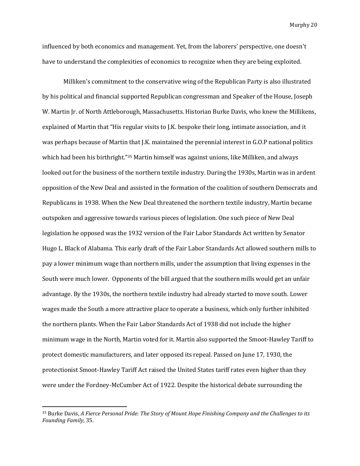influenced by both economics and management. Yet, from the laborers' perspective, one doesn't have to understand the complexities of economics to recognize when they are being exploited.

Milliken's commitment to the conservative wing of the Republican Party is also illustrated by his political and financial supported Republican congressman and Speaker of the House, Joseph W. Martin Jr. of North Attleborough, Massachusetts. Historian Burke Davis, who knew the Millikens, explained of Martin that "His regular visits to J.K. bespoke their long, intimate association, and it was perhaps because of Martin that J.K. maintained the perennial interest in G.O.P national politics which had been his birthright."<sup>35</sup> Martin himself was against unions, like Milliken, and always looked out for the business of the northern textile industry. During the 1930s, Martin was in ardent opposition of the New Deal and assisted in the formation of the coalition of southern Democrats and Republicans in 1938. When the New Deal threatened the northern textile industry, Martin became outspoken and aggressive towards various pieces of legislation. One such piece of New Deal legislation he opposed was the 1932 version of the Fair Labor Standards Act written by Senator Hugo L. Black of Alabama. This early draft of the Fair Labor Standards Act allowed southern mills to pay a lower minimum wage than northern mills, under the assumption that living expenses in the South were much lower. Opponents of the bill argued that the southern mills would get an unfair advantage. By the 1930s, the northern textile industry had already started to move south. Lower wages made the South a more attractive place to operate a business, which only further inhibited the northern plants. When the Fair Labor Standards Act of 1938 did not include the higher minimum wage in the North, Martin voted for it. Martin also supported the Smoot-Hawley Tariff to protect domestic manufacturers, and later opposed its repeal. Passed on June 17, 1930, the protectionist Smoot-Hawley Tariff Act raised the United States tariff rates even higher than they were under the Fordney-McCumber Act of 1922. Despite the historical debate surrounding the

<sup>35</sup> Burke Davis, *A Fierce Personal Pride*: *The Story of Mount Hope Finishing Company and the Challenges to its Founding Family,* 35.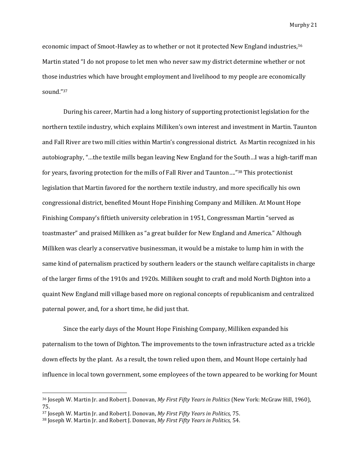economic impact of Smoot-Hawley as to whether or not it protected New England industries,<sup>36</sup> Martin stated "I do not propose to let men who never saw my district determine whether or not those industries which have brought employment and livelihood to my people are economically sound."<sup>37</sup>

During his career, Martin had a long history of supporting protectionist legislation for the northern textile industry, which explains Milliken's own interest and investment in Martin. Taunton and Fall River are two mill cities within Martin's congressional district. As Martin recognized in his autobiography, "…the textile mills began leaving New England for the South…I was a high-tariff man for years, favoring protection for the mills of Fall River and Taunton…."<sup>38</sup> This protectionist legislation that Martin favored for the northern textile industry, and more specifically his own congressional district, benefited Mount Hope Finishing Company and Milliken. At Mount Hope Finishing Company's fiftieth university celebration in 1951, Congressman Martin "served as toastmaster" and praised Milliken as "a great builder for New England and America." Although Milliken was clearly a conservative businessman, it would be a mistake to lump him in with the same kind of paternalism practiced by southern leaders or the staunch welfare capitalists in charge of the larger firms of the 1910s and 1920s. Milliken sought to craft and mold North Dighton into a quaint New England mill village based more on regional concepts of republicanism and centralized paternal power, and, for a short time, he did just that.

Since the early days of the Mount Hope Finishing Company, Milliken expanded his paternalism to the town of Dighton. The improvements to the town infrastructure acted as a trickle down effects by the plant. As a result, the town relied upon them, and Mount Hope certainly had influence in local town government, some employees of the town appeared to be working for Mount

<sup>36</sup> Joseph W. Martin Jr. and Robert J. Donovan, *My First Fifty Years in Politics* (New York: McGraw Hill, 1960), 75.

<sup>37</sup> Joseph W. Martin Jr. and Robert J. Donovan, *My First Fifty Years in Politics,* 75.

<sup>38</sup> Joseph W. Martin Jr. and Robert J. Donovan, *My First Fifty Years in Politics,* 54.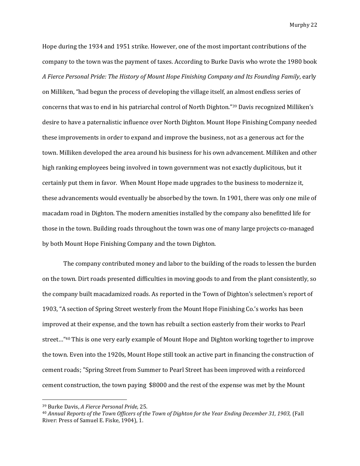Hope during the 1934 and 1951 strike. However, one of the most important contributions of the company to the town was the payment of taxes. According to Burke Davis who wrote the 1980 book *A Fierce Personal Pride: The History of Mount Hope Finishing Company and Its Founding Family*, early on Milliken, "had begun the process of developing the village itself, an almost endless series of concerns that was to end in his patriarchal control of North Dighton."<sup>39</sup> Davis recognized Milliken's desire to have a paternalistic influence over North Dighton. Mount Hope Finishing Company needed these improvements in order to expand and improve the business, not as a generous act for the town. Milliken developed the area around his business for his own advancement. Milliken and other high ranking employees being involved in town government was not exactly duplicitous, but it certainly put them in favor. When Mount Hope made upgrades to the business to modernize it, these advancements would eventually be absorbed by the town. In 1901, there was only one mile of macadam road in Dighton. The modern amenities installed by the company also benefitted life for those in the town. Building roads throughout the town was one of many large projects co-managed by both Mount Hope Finishing Company and the town Dighton.

The company contributed money and labor to the building of the roads to lessen the burden on the town. Dirt roads presented difficulties in moving goods to and from the plant consistently, so the company built macadamized roads. As reported in the Town of Dighton's selectmen's report of 1903, "A section of Spring Street westerly from the Mount Hope Finishing Co.'s works has been improved at their expense, and the town has rebuilt a section easterly from their works to Pearl street..."<sup>40</sup> This is one very early example of Mount Hope and Dighton working together to improve the town. Even into the 1920s, Mount Hope still took an active part in financing the construction of cement roads; "Spring Street from Summer to Pearl Street has been improved with a reinforced cement construction, the town paying \$8000 and the rest of the expense was met by the Mount

<sup>39</sup> Burke Davis, *A Fierce Personal Pride,* 25.

<sup>&</sup>lt;sup>40</sup> Annual Reports of the Town Officers of the Town of Dighton for the Year Ending December 31, 1903, (Fall River: Press of Samuel E. Fiske, 1904), 1.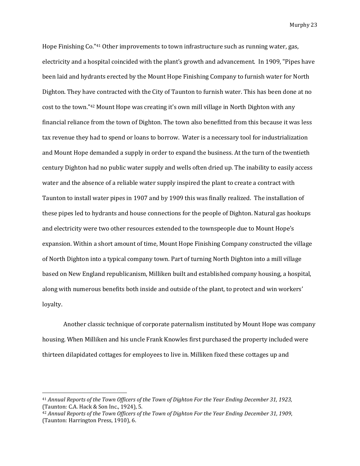Hope Finishing Co."<sup>41</sup> Other improvements to town infrastructure such as running water, gas, electricity and a hospital coincided with the plant's growth and advancement. In 1909, "Pipes have been laid and hydrants erected by the Mount Hope Finishing Company to furnish water for North Dighton. They have contracted with the City of Taunton to furnish water. This has been done at no cost to the town."<sup>42</sup> Mount Hope was creating it's own mill village in North Dighton with any financial reliance from the town of Dighton. The town also benefitted from this because it was less tax revenue they had to spend or loans to borrow. Water is a necessary tool for industrialization and Mount Hope demanded a supply in order to expand the business. At the turn of the twentieth century Dighton had no public water supply and wells often dried up. The inability to easily access water and the absence of a reliable water supply inspired the plant to create a contract with Taunton to install water pipes in 1907 and by 1909 this was finally realized. The installation of these pipes led to hydrants and house connections for the people of Dighton. Natural gas hookups and electricity were two other resources extended to the townspeople due to Mount Hope's expansion. Within a short amount of time, Mount Hope Finishing Company constructed the village of North Dighton into a typical company town. Part of turning North Dighton into a mill village based on New England republicanism, Milliken built and established company housing, a hospital, along with numerous benefits both inside and outside of the plant, to protect and win workers' loyalty.

Another classic technique of corporate paternalism instituted by Mount Hope was company housing. When Milliken and his uncle Frank Knowles first purchased the property included were thirteen dilapidated cottages for employees to live in. Milliken fixed these cottages up and

<sup>41</sup> *Annual Reports of the Town Officers of the Town of Dighton For the Year Ending December 31, 1923,*  (Taunton: C.A. Hack & Son Inc., 1924), 5.

<sup>42</sup> *Annual Reports of the Town Officers of the Town of Dighton For the Year Ending December 31, 1909*, (Taunton: Harrington Press, 1910), 6.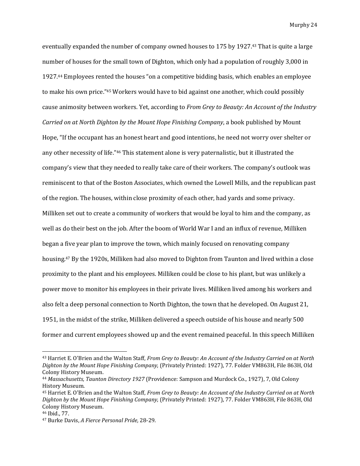eventually expanded the number of company owned houses to 175 by 1927.<sup>43</sup> That is quite a large number of houses for the small town of Dighton, which only had a population of roughly 3,000 in 1927.<sup>44</sup> Employees rented the houses "on a competitive bidding basis, which enables an employee to make his own price."<sup>45</sup> Workers would have to bid against one another, which could possibly cause animosity between workers. Yet, according to *From Grey to Beauty: An Account of the Industry Carried on at North Dighton by the Mount Hope Finishing Company*, a book published by Mount Hope, "If the occupant has an honest heart and good intentions, he need not worry over shelter or any other necessity of life."<sup>46</sup> This statement alone is very paternalistic, but it illustrated the company's view that they needed to really take care of their workers. The company's outlook was reminiscent to that of the Boston Associates, which owned the Lowell Mills, and the republican past of the region. The houses, within close proximity of each other, had yards and some privacy. Milliken set out to create a community of workers that would be loyal to him and the company, as well as do their best on the job. After the boom of World War I and an influx of revenue, Milliken began a five year plan to improve the town, which mainly focused on renovating company housing.<sup>47</sup> By the 1920s, Milliken had also moved to Dighton from Taunton and lived within a close proximity to the plant and his employees. Milliken could be close to his plant, but was unlikely a power move to monitor his employees in their private lives. Milliken lived among his workers and also felt a deep personal connection to North Dighton, the town that he developed. On August 21, 1951, in the midst of the strike, Milliken delivered a speech outside of his house and nearly 500 former and current employees showed up and the event remained peaceful. In this speech Milliken

<sup>43</sup> Harriet E. O'Brien and the Walton Staff, *From Grey to Beauty: An Account of the Industry Carried on at North Dighton by the Mount Hope Finishing Company,* (Privately Printed: 1927), 77. Folder VM863H, File 863H, Old Colony History Museum.

<sup>44</sup> *Massachusetts, Taunton Directory 1927* (Providence: Sampson and Murdock Co., 1927), 7, Old Colony History Museum.

<sup>45</sup> Harriet E. O'Brien and the Walton Staff, *From Grey to Beauty: An Account of the Industry Carried on at North Dighton by the Mount Hope Finishing Company,* (Privately Printed: 1927), 77. Folder VM863H, File 863H, Old Colony History Museum.

<sup>46</sup> Ibid., 77.

<sup>47</sup> Burke Davis, *A Fierce Personal Pride,* 28-29.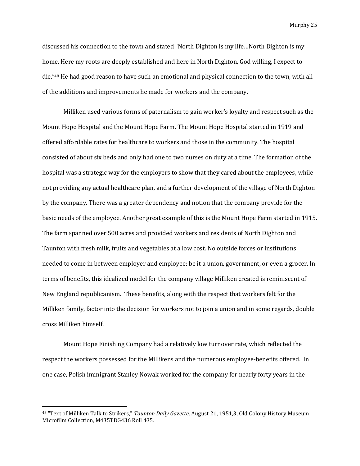discussed his connection to the town and stated "North Dighton is my life…North Dighton is my home. Here my roots are deeply established and here in North Dighton, God willing, I expect to die."<sup>48</sup> He had good reason to have such an emotional and physical connection to the town, with all of the additions and improvements he made for workers and the company.

Milliken used various forms of paternalism to gain worker's loyalty and respect such as the Mount Hope Hospital and the Mount Hope Farm. The Mount Hope Hospital started in 1919 and offered affordable rates for healthcare to workers and those in the community. The hospital consisted of about six beds and only had one to two nurses on duty at a time. The formation of the hospital was a strategic way for the employers to show that they cared about the employees, while not providing any actual healthcare plan, and a further development of the village of North Dighton by the company. There was a greater dependency and notion that the company provide for the basic needs of the employee. Another great example of this is the Mount Hope Farm started in 1915. The farm spanned over 500 acres and provided workers and residents of North Dighton and Taunton with fresh milk, fruits and vegetables at a low cost. No outside forces or institutions needed to come in between employer and employee; be it a union, government, or even a grocer. In terms of benefits, this idealized model for the company village Milliken created is reminiscent of New England republicanism. These benefits, along with the respect that workers felt for the Milliken family, factor into the decision for workers not to join a union and in some regards, double cross Milliken himself.

Mount Hope Finishing Company had a relatively low turnover rate, which reflected the respect the workers possessed for the Millikens and the numerous employee-benefits offered. In one case, Polish immigrant Stanley Nowak worked for the company for nearly forty years in the

<sup>48</sup> "Text of Milliken Talk to Strikers," *Taunton Daily Gazette,* August 21, 1951,3, Old Colony History Museum Microfilm Collection, M435TDG436 Roll 435.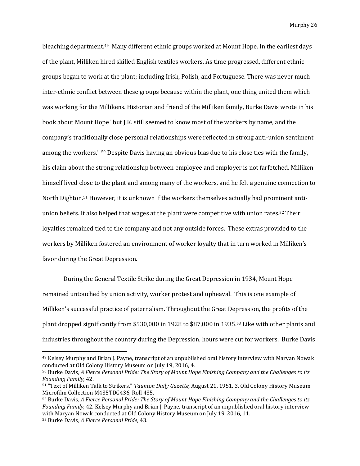bleaching department.49 Many different ethnic groups worked at Mount Hope. In the earliest days of the plant, Milliken hired skilled English textiles workers. As time progressed, different ethnic groups began to work at the plant; including Irish, Polish, and Portuguese. There was never much inter-ethnic conflict between these groups because within the plant, one thing united them which was working for the Millikens. Historian and friend of the Milliken family, Burke Davis wrote in his book about Mount Hope "but J.K. still seemed to know most of the workers by name, and the company's traditionally close personal relationships were reflected in strong anti-union sentiment among the workers." <sup>50</sup> Despite Davis having an obvious bias due to his close ties with the family, his claim about the strong relationship between employee and employer is not farfetched. Milliken himself lived close to the plant and among many of the workers, and he felt a genuine connection to North Dighton.<sup>51</sup> However, it is unknown if the workers themselves actually had prominent antiunion beliefs. It also helped that wages at the plant were competitive with union rates.<sup>52</sup> Their loyalties remained tied to the company and not any outside forces. These extras provided to the workers by Milliken fostered an environment of worker loyalty that in turn worked in Milliken's favor during the Great Depression.

During the General Textile Strike during the Great Depression in 1934, Mount Hope remained untouched by union activity, worker protest and upheaval. This is one example of Milliken's successful practice of paternalism. Throughout the Great Depression, the profits of the plant dropped significantly from \$530,000 in 1928 to \$87,000 in 1935.<sup>53</sup> Like with other plants and industries throughout the country during the Depression, hours were cut for workers. Burke Davis

<sup>&</sup>lt;sup>49</sup> Kelsey Murphy and Brian J. Payne, transcript of an unpublished oral history interview with Maryan Nowak conducted at Old Colony History Museum on July 19, 2016, 4.

<sup>50</sup> Burke Davis, *A Fierce Personal Pride: The Story of Mount Hope Finishing Company and the Challenges to its Founding Family,* 42.

<sup>51</sup> "Text of Milliken Talk to Strikers," *Taunton Daily Gazette,* August 21, 1951, 3, Old Colony History Museum Microfilm Collection M435TDG436, Roll 435.

<sup>52</sup> Burke Davis, *A Fierce Personal Pride: The Story of Mount Hope Finishing Company and the Challenges to its Founding Family,* 42*.* Kelsey Murphy and Brian J. Payne, transcript of an unpublished oral history interview with Maryan Nowak conducted at Old Colony History Museum on July 19, 2016, 11.

<sup>53</sup> Burke Davis, *A Fierce Personal Pride,* 43.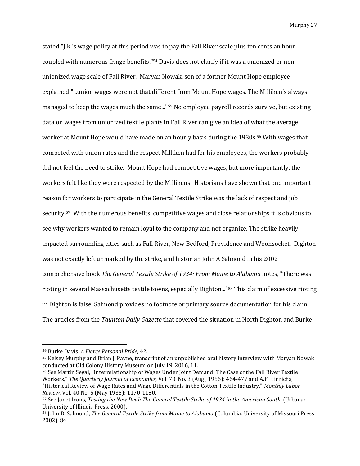stated "J.K.'s wage policy at this period was to pay the Fall River scale plus ten cents an hour coupled with numerous fringe benefits."<sup>54</sup> Davis does not clarify if it was a unionized or nonunionized wage scale of Fall River. Maryan Nowak, son of a former Mount Hope employee explained "...union wages were not that different from Mount Hope wages. The Milliken's always managed to keep the wages much the same..."<sup>55</sup> No employee payroll records survive, but existing data on wages from unionized textile plants in Fall River can give an idea of what the average worker at Mount Hope would have made on an hourly basis during the 1930s.<sup>56</sup> With wages that competed with union rates and the respect Milliken had for his employees, the workers probably did not feel the need to strike. Mount Hope had competitive wages, but more importantly, the workers felt like they were respected by the Millikens. Historians have shown that one important reason for workers to participate in the General Textile Strike was the lack of respect and job security.57 With the numerous benefits, competitive wages and close relationships it is obvious to see why workers wanted to remain loyal to the company and not organize. The strike heavily impacted surrounding cities such as Fall River, New Bedford, Providence and Woonsocket. Dighton was not exactly left unmarked by the strike, and historian John A Salmond in his 2002 comprehensive book *The General Textile Strike of 1934: From Maine to Alabama* notes, "There was rioting in several Massachusetts textile towns, especially Dighton..."<sup>58</sup> This claim of excessive rioting in Dighton is false. Salmond provides no footnote or primary source documentation for his claim. The articles from the *Taunton Daily Gazette* that covered the situation in North Dighton and Burke

<sup>54</sup> Burke Davis, *A Fierce Personal Pride,* 42.

<sup>55</sup> Kelsey Murphy and Brian J. Payne, transcript of an unpublished oral history interview with Maryan Nowak conducted at Old Colony History Museum on July 19, 2016, 11.

<sup>56</sup> See Martin Segal, "Interrelationship of Wages Under Joint Demand: The Case of the Fall River Textile Workers," *The Quarterly Journal of Economics,* Vol. 70. No. 3 (Aug., 1956): 464-477 and A.F. Hinrichs, "Historical Review of Wage Rates and Wage Differentials in the Cotton Textile Industry," *Monthly Labor Review,* Vol. 40 No. 5 (May 1935): 1170-1180.

<sup>57</sup> See Janet Irons, *Testing the New Deal: The General Textile Strike of 1934 in the American South,* (Urbana: University of Illinois Press, 2000).

<sup>58</sup> John D. Salmond, *The General Textile Strike from Maine to Alabama* (Columbia: University of Missouri Press, 2002), 84.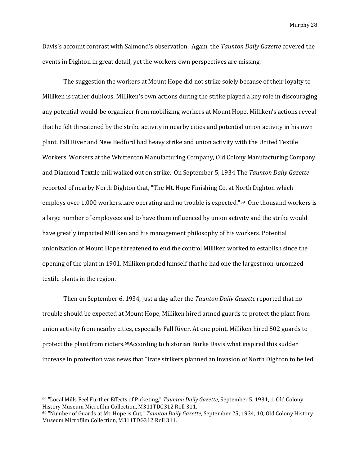Davis's account contrast with Salmond's observation. Again, the *Taunton Daily Gazette* covered the events in Dighton in great detail, yet the workers own perspectives are missing.

The suggestion the workers at Mount Hope did not strike solely because of their loyalty to Milliken is rather dubious. Milliken's own actions during the strike played a key role in discouraging any potential would-be organizer from mobilizing workers at Mount Hope. Milliken's actions reveal that he felt threatened by the strike activity in nearby cities and potential union activity in his own plant. Fall River and New Bedford had heavy strike and union activity with the United Textile Workers. Workers at the Whittenton Manufacturing Company, Old Colony Manufacturing Company, and Diamond Textile mill walked out on strike. On September 5, 1934 The *Taunton Daily Gazette* reported of nearby North Dighton that, "The Mt. Hope Finishing Co. at North Dighton which employs over 1,000 workers...are operating and no trouble is expected."59 One thousand workers is a large number of employees and to have them influenced by union activity and the strike would have greatly impacted Milliken and his management philosophy of his workers. Potential unionization of Mount Hope threatened to end the control Milliken worked to establish since the opening of the plant in 1901. Milliken prided himself that he had one the largest non-unionized textile plants in the region.

Then on September 6, 1934, just a day after the *Taunton Daily Gazette* reported that no trouble should be expected at Mount Hope, Milliken hired armed guards to protect the plant from union activity from nearby cities, especially Fall River. At one point, Milliken hired 502 guards to protect the plant from rioters.60According to historian Burke Davis what inspired this sudden increase in protection was news that "irate strikers planned an invasion of North Dighton to be led

<sup>59</sup> "Local Mills Feel Further Effects of Picketing," *Taunton Daily Gazette*, September 5, 1934, 1, Old Colony History Museum Microfilm Collection, M311TDG312 Roll 311.

<sup>60</sup> "Number of Guards at Mt. Hope is Cut," *Taunton Daily Gazette,* September 25, 1934, 10, Old Colony History Museum Microfilm Collection, M311TDG312 Roll 311.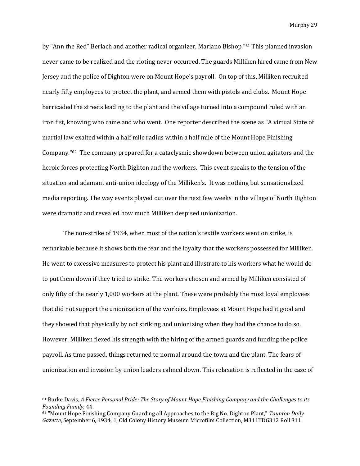by "Ann the Red" Berlach and another radical organizer, Mariano Bishop."<sup>61</sup> This planned invasion never came to be realized and the rioting never occurred. The guards Milliken hired came from New Jersey and the police of Dighton were on Mount Hope's payroll. On top of this, Milliken recruited nearly fifty employees to protect the plant, and armed them with pistols and clubs. Mount Hope barricaded the streets leading to the plant and the village turned into a compound ruled with an iron fist, knowing who came and who went. One reporter described the scene as "A virtual State of martial law exalted within a half mile radius within a half mile of the Mount Hope Finishing Company." <sup>62</sup> The company prepared for a cataclysmic showdown between union agitators and the heroic forces protecting North Dighton and the workers. This event speaks to the tension of the situation and adamant anti-union ideology of the Milliken's. It was nothing but sensationalized media reporting. The way events played out over the next few weeks in the village of North Dighton were dramatic and revealed how much Milliken despised unionization.

The non-strike of 1934, when most of the nation's textile workers went on strike, is remarkable because it shows both the fear and the loyalty that the workers possessed for Milliken. He went to excessive measures to protect his plant and illustrate to his workers what he would do to put them down if they tried to strike. The workers chosen and armed by Milliken consisted of only fifty of the nearly 1,000 workers at the plant. These were probably the most loyal employees that did not support the unionization of the workers. Employees at Mount Hope had it good and they showed that physically by not striking and unionizing when they had the chance to do so. However, Milliken flexed his strength with the hiring of the armed guards and funding the police payroll. As time passed, things returned to normal around the town and the plant. The fears of unionization and invasion by union leaders calmed down. This relaxation is reflected in the case of

<sup>61</sup> Burke Davis, *A Fierce Personal Pride: The Story of Mount Hope Finishing Company and the Challenges to its Founding Family,* 44.

<sup>62</sup> "Mount Hope Finishing Company Guarding all Approaches to the Big No. Dighton Plant," *Taunton Daily Gazette*, September 6, 1934, 1, Old Colony History Museum Microfilm Collection, M311TDG312 Roll 311.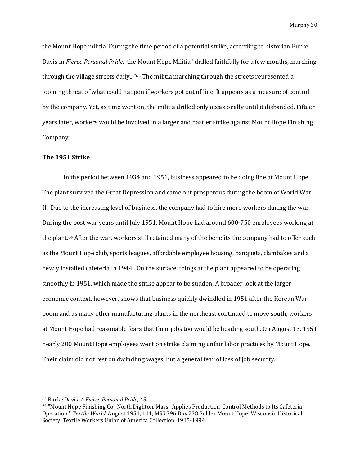the Mount Hope militia. During the time period of a potential strike, according to historian Burke Davis in *Fierce Personal Pride,* the Mount Hope Militia "drilled faithfully for a few months, marching through the village streets daily..."<sup>63</sup> The militia marching through the streets represented a looming threat of what could happen if workers got out of line. It appears as a measure of control by the company. Yet, as time went on, the militia drilled only occasionally until it disbanded. Fifteen years later, workers would be involved in a larger and nastier strike against Mount Hope Finishing Company.

#### **The 1951 Strike**

In the period between 1934 and 1951, business appeared to be doing fine at Mount Hope. The plant survived the Great Depression and came out prosperous during the boom of World War II. Due to the increasing level of business, the company had to hire more workers during the war. During the post war years until July 1951, Mount Hope had around 600-750 employees working at the plant. <sup>64</sup> After the war, workers still retained many of the benefits the company had to offer such as the Mount Hope club, sports leagues, affordable employee housing, banquets, clambakes and a newly installed cafeteria in 1944. On the surface, things at the plant appeared to be operating smoothly in 1951, which made the strike appear to be sudden. A broader look at the larger economic context, however, shows that business quickly dwindled in 1951 after the Korean War boom and as many other manufacturing plants in the northeast continued to move south, workers at Mount Hope had reasonable fears that their jobs too would be heading south. On August 13, 1951 nearly 200 Mount Hope employees went on strike claiming unfair labor practices by Mount Hope. Their claim did not rest on dwindling wages, but a general fear of loss of job security.

<sup>63</sup> Burke Davis, *A Fierce Personal Pride,* 45.

<sup>64</sup> "Mount Hope Finishing Co., North Dighton, Mass., Applies Production-Control Methods to Its Cafeteria Operation," *Textile World*, August 1951, 111, MSS 396 Box 238 Folder Mount Hope. Wisconsin Historical Society, Textile Workers Union of America Collection, 1915-1994.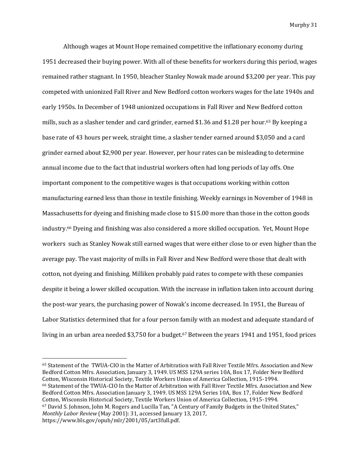Although wages at Mount Hope remained competitive the inflationary economy during 1951 decreased their buying power. With all of these benefits for workers during this period, wages remained rather stagnant. In 1950, bleacher Stanley Nowak made around \$3,200 per year. This pay competed with unionized Fall River and New Bedford cotton workers wages for the late 1940s and early 1950s. In December of 1948 unionized occupations in Fall River and New Bedford cotton mills, such as a slasher tender and card grinder, earned \$1.36 and \$1.28 per hour.<sup>65</sup> By keeping a base rate of 43 hours per week, straight time, a slasher tender earned around \$3,050 and a card grinder earned about \$2,900 per year. However, per hour rates can be misleading to determine annual income due to the fact that industrial workers often had long periods of lay offs. One important component to the competitive wages is that occupations working within cotton manufacturing earned less than those in textile finishing. Weekly earnings in November of 1948 in Massachusetts for dyeing and finishing made close to \$15.00 more than those in the cotton goods industry.<sup>66</sup> Dyeing and finishing was also considered a more skilled occupation. Yet, Mount Hope workers such as Stanley Nowak still earned wages that were either close to or even higher than the average pay. The vast majority of mills in Fall River and New Bedford were those that dealt with cotton, not dyeing and finishing. Milliken probably paid rates to compete with these companies despite it being a lower skilled occupation. With the increase in inflation taken into account during the post-war years, the purchasing power of Nowak's income decreased. In 1951, the Bureau of Labor Statistics determined that for a four person family with an modest and adequate standard of living in an urban area needed \$3,750 for a budget.<sup>67</sup> Between the years 1941 and 1951, food prices

<sup>65</sup> Statement of the TWUA-CIO in the Matter of Arbitration with Fall River Textile Mfrs. Association and New Bedford Cotton Mfrs. Association, January 3, 1949. US MSS 129A series 10A, Box 17, Folder New Bedford Cotton, Wisconsin Historical Society, Textile Workers Union of America Collection, 1915-1994. <sup>66</sup> Statement of the TWUA-CIO In the Matter of Arbitration with Fall River Textile Mfrs. Association and New Bedford Cotton Mfrs. Association January 3, 1949. US MSS 129A Series 10A, Box 17, Folder New Bedford Cotton, Wisconsin Historical Society, Textile Workers Union of America Collection, 1915-1994. <sup>67</sup> David S. Johnson, John M. Rogers and Lucilla Tan, "A Century of Family Budgets in the United States," *Monthly Labor Review* (May 2001): 31, accessed January 13, 2017, https://www.bls.gov/opub/mlr/2001/05/art3full.pdf.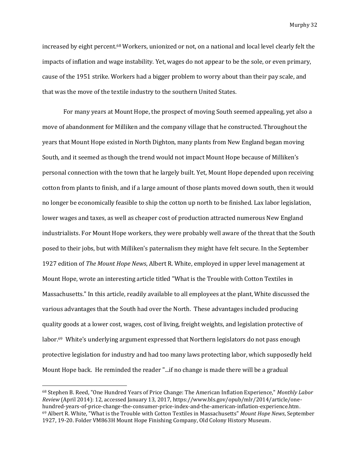increased by eight percent.<sup>68</sup> Workers, unionized or not, on a national and local level clearly felt the impacts of inflation and wage instability. Yet, wages do not appear to be the sole, or even primary, cause of the 1951 strike. Workers had a bigger problem to worry about than their pay scale, and that was the move of the textile industry to the southern United States.

For many years at Mount Hope, the prospect of moving South seemed appealing, yet also a move of abandonment for Milliken and the company village that he constructed. Throughout the years that Mount Hope existed in North Dighton, many plants from New England began moving South, and it seemed as though the trend would not impact Mount Hope because of Milliken's personal connection with the town that he largely built. Yet, Mount Hope depended upon receiving cotton from plants to finish, and if a large amount of those plants moved down south, then it would no longer be economically feasible to ship the cotton up north to be finished. Lax labor legislation, lower wages and taxes, as well as cheaper cost of production attracted numerous New England industrialists. For Mount Hope workers, they were probably well aware of the threat that the South posed to their jobs, but with Milliken's paternalism they might have felt secure. In the September 1927 edition of *The Mount Hope News*, Albert R. White, employed in upper level management at Mount Hope, wrote an interesting article titled "What is the Trouble with Cotton Textiles in Massachusetts." In this article, readily available to all employees at the plant, White discussed the various advantages that the South had over the North. These advantages included producing quality goods at a lower cost, wages, cost of living, freight weights, and legislation protective of labor. <sup>69</sup> White's underlying argument expressed that Northern legislators do not pass enough protective legislation for industry and had too many laws protecting labor, which supposedly held Mount Hope back. He reminded the reader "...if no change is made there will be a gradual

<sup>68</sup> Stephen B. Reed, "One Hundred Years of Price Change: The American Inflation Experience," *Monthly Labor Review* (April 2014): 12, accessed January 13, 2017, https://www.bls.gov/opub/mlr/2014/article/onehundred-years-of-price-change-the-consumer-price-index-and-the-american-inflation-experience.htm. <sup>69</sup> Albert R. White, "What is the Trouble with Cotton Textiles in Massachusetts" *Mount Hope News*, September 1927, 19-20. Folder VM863H Mount Hope Finishing Company, Old Colony History Museum.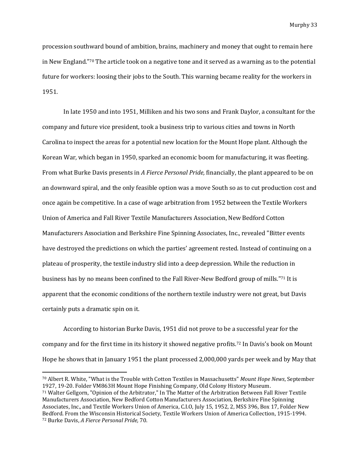procession southward bound of ambition, brains, machinery and money that ought to remain here in New England."<sup>70</sup> The article took on a negative tone and it served as a warning as to the potential future for workers: loosing their jobs to the South. This warning became reality for the workers in 1951.

In late 1950 and into 1951, Milliken and his two sons and Frank Daylor, a consultant for the company and future vice president, took a business trip to various cities and towns in North Carolina to inspect the areas for a potential new location for the Mount Hope plant. Although the Korean War, which began in 1950, sparked an economic boom for manufacturing, it was fleeting. From what Burke Davis presents in *A Fierce Personal Pride,* financially, the plant appeared to be on an downward spiral, and the only feasible option was a move South so as to cut production cost and once again be competitive. In a case of wage arbitration from 1952 between the Textile Workers Union of America and Fall River Textile Manufacturers Association, New Bedford Cotton Manufacturers Association and Berkshire Fine Spinning Associates, Inc., revealed "Bitter events have destroyed the predictions on which the parties' agreement rested. Instead of continuing on a plateau of prosperity, the textile industry slid into a deep depression. While the reduction in business has by no means been confined to the Fall River-New Bedford group of mills."<sup>71</sup> It is apparent that the economic conditions of the northern textile industry were not great, but Davis certainly puts a dramatic spin on it.

According to historian Burke Davis, 1951 did not prove to be a successful year for the company and for the first time in its history it showed negative profits.<sup>72</sup> In Davis's book on Mount Hope he shows that in January 1951 the plant processed 2,000,000 yards per week and by May that

l

<sup>70</sup> Albert R. White, "What is the Trouble with Cotton Textiles in Massachusetts" *Mount Hope News*, September 1927, 19-20. Folder VM863H Mount Hope Finishing Company, Old Colony History Museum.

<sup>71</sup> Walter Gellgorn, "Opinion of the Arbitrator," In The Matter of the Arbitration Between Fall River Textile Manufacturers Association, New Bedford Cotton Manufacturers Association, Berkshire Fine Spinning Associates, Inc., and Textile Workers Union of America, C.I.O, July 15, 1952, 2, MSS 396, Box 17, Folder New Bedford. From the Wisconsin Historical Society, Textile Workers Union of America Collection, 1915-1994. <sup>72</sup> Burke Davis, *A Fierce Personal Pride,* 70.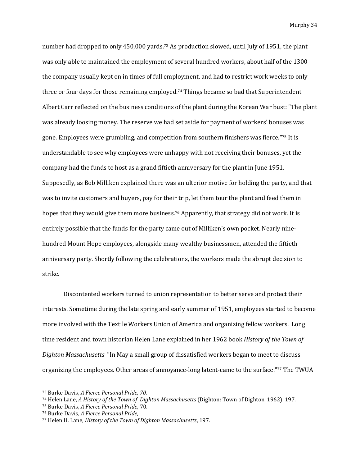number had dropped to only 450,000 yards.<sup>73</sup> As production slowed, until July of 1951, the plant was only able to maintained the employment of several hundred workers, about half of the 1300 the company usually kept on in times of full employment, and had to restrict work weeks to only three or four days for those remaining employed. <sup>74</sup> Things became so bad that Superintendent Albert Carr reflected on the business conditions of the plant during the Korean War bust: "The plant was already loosing money. The reserve we had set aside for payment of workers' bonuses was gone. Employees were grumbling, and competition from southern finishers was fierce."<sup>75</sup> It is understandable to see why employees were unhappy with not receiving their bonuses, yet the company had the funds to host as a grand fiftieth anniversary for the plant in June 1951. Supposedly, as Bob Milliken explained there was an ulterior motive for holding the party, and that was to invite customers and buyers, pay for their trip, let them tour the plant and feed them in hopes that they would give them more business.<sup>76</sup> Apparently, that strategy did not work. It is entirely possible that the funds for the party came out of Milliken's own pocket. Nearly ninehundred Mount Hope employees, alongside many wealthy businessmen, attended the fiftieth anniversary party. Shortly following the celebrations, the workers made the abrupt decision to strike.

Discontented workers turned to union representation to better serve and protect their interests. Sometime during the late spring and early summer of 1951, employees started to become more involved with the Textile Workers Union of America and organizing fellow workers. Long time resident and town historian Helen Lane explained in her 1962 book *History of the Town of Dighton Massachusetts* "In May a small group of dissatisfied workers began to meet to discuss organizing the employees. Other areas of annoyance-long latent-came to the surface."<sup>77</sup> The TWUA

<sup>73</sup> Burke Davis, *A Fierce Personal Pride, 70.* 

<sup>74</sup> Helen Lane, *A History of the Town of Dighton Massachusetts* (Dighton: Town of Dighton, 1962), 197.

<sup>75</sup> Burke Davis, *A Fierce Personal Pride*, 70.

<sup>76</sup> Burke Davis, *A Fierce Personal Pride,* 

<sup>77</sup> Helen H. Lane, *History of the Town of Dighton Massachusetts*, 197.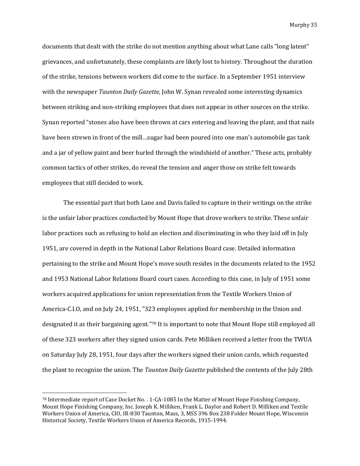documents that dealt with the strike do not mention anything about what Lane calls "long latent" grievances, and unfortunately, these complaints are likely lost to history. Throughout the duration of the strike, tensions between workers did come to the surface. In a September 1951 interview with the newspaper *Taunton Daily Gazette,* John W. Synan revealed some interesting dynamics between striking and non-striking employees that does not appear in other sources on the strike. Synan reported "stones also have been thrown at cars entering and leaving the plant, and that nails have been strewn in front of the mill…sugar had been poured into one man's automobile gas tank and a jar of yellow paint and beer hurled through the windshield of another." These acts, probably common tactics of other strikes, do reveal the tension and anger those on strike felt towards employees that still decided to work.

The essential part that both Lane and Davis failed to capture in their writings on the strike is the unfair labor practices conducted by Mount Hope that drove workers to strike. These unfair labor practices such as refusing to hold an election and discriminating in who they laid off in July 1951, are covered in depth in the National Labor Relations Board case. Detailed information pertaining to the strike and Mount Hope's move south resides in the documents related to the 1952 and 1953 National Labor Relations Board court cases. According to this case, in July of 1951 some workers acquired applications for union representation from the Textile Workers Union of America-C.I.O, and on July 24, 1951, "323 employees applied for membership in the Union and designated it as their bargaining agent."<sup>78</sup> It is important to note that Mount Hope still employed all of these 323 workers after they signed union cards. Pete Milliken received a letter from the TWUA on Saturday July 28, 1951, four days after the workers signed their union cards, which requested the plant to recognize the union. The *Taunton Daily Gazette* published the contents of the July 28th

<sup>78</sup> Intermediate report of Case Docket No. . 1-CA-1085 In the Matter of Mount Hope Finishing Company, Mount Hope Finishing Company, Inc. Joseph K. Milliken, Frank L. Daylor and Robert D. Milliken and Textile Workers Union of America, CIO, IR-830 Taunton, Mass, 3, MSS 396 Box 238 Folder Mount Hope, Wisconsin Historical Society, Textile Workers Union of America Records, 1915-1994.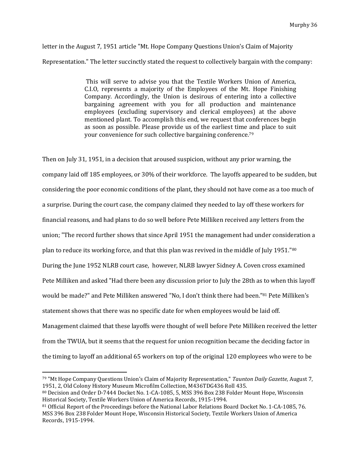letter in the August 7, 1951 article "Mt. Hope Company Questions Union's Claim of Majority Representation." The letter succinctly stated the request to collectively bargain with the company:

> This will serve to advise you that the Textile Workers Union of America, C.I.O, represents a majority of the Employees of the Mt. Hope Finishing Company. Accordingly, the Union is desirous of entering into a collective bargaining agreement with you for all production and maintenance employees (excluding supervisory and clerical employees) at the above mentioned plant. To accomplish this end, we request that conferences begin as soon as possible. Please provide us of the earliest time and place to suit your convenience for such collective bargaining conference.<sup>79</sup>

Then on July 31, 1951, in a decision that aroused suspicion, without any prior warning, the company laid off 185 employees, or 30% of their workforce. The layoffs appeared to be sudden, but considering the poor economic conditions of the plant, they should not have come as a too much of a surprise. During the court case, the company claimed they needed to lay off these workers for financial reasons, and had plans to do so well before Pete Milliken received any letters from the union; "The record further shows that since April 1951 the management had under consideration a plan to reduce its working force, and that this plan was revived in the middle of July 1951."<sup>80</sup> During the June 1952 NLRB court case, however, NLRB lawyer Sidney A. Coven cross examined Pete Milliken and asked "Had there been any discussion prior to July the 28th as to when this layoff would be made?" and Pete Milliken answered "No, I don't think there had been."<sup>81</sup> Pete Milliken's statement shows that there was no specific date for when employees would be laid off. Management claimed that these layoffs were thought of well before Pete Milliken received the letter from the TWUA, but it seems that the request for union recognition became the deciding factor in the timing to layoff an additional 65 workers on top of the original 120 employees who were to be

l

<sup>79</sup> "Mt Hope Company Questions Union's Claim of Majority Representation," *Taunton Daily Gazette,* August 7, 1951, 2, Old Colony History Museum Microfilm Collection, M436TDG436 Roll 435.

<sup>80</sup> Decision and Order D-7444 Docket No. 1-CA-1085, 5, MSS 396 Box 238 Folder Mount Hope, Wisconsin Historical Society, Textile Workers Union of America Records, 1915-1994.

<sup>81</sup> Official Report of the Proceedings before the National Labor Relations Board Docket No. 1-CA-1085, 76. MSS 396 Box 238 Folder Mount Hope, Wisconsin Historical Society, Textile Workers Union of America Records, 1915-1994.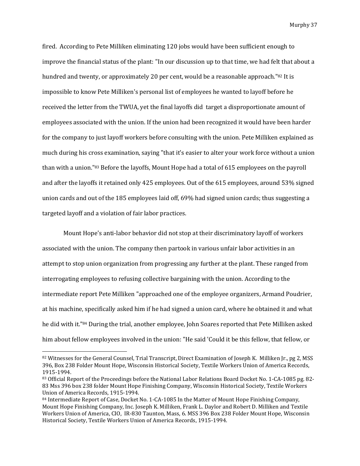fired. According to Pete Milliken eliminating 120 jobs would have been sufficient enough to improve the financial status of the plant: "In our discussion up to that time, we had felt that about a hundred and twenty, or approximately 20 per cent, would be a reasonable approach."82 It is impossible to know Pete Milliken's personal list of employees he wanted to layoff before he received the letter from the TWUA, yet the final layoffs did target a disproportionate amount of employees associated with the union. If the union had been recognized it would have been harder for the company to just layoff workers before consulting with the union. Pete Milliken explained as much during his cross examination, saying "that it's easier to alter your work force without a union than with a union."<sup>83</sup> Before the layoffs, Mount Hope had a total of 615 employees on the payroll and after the layoffs it retained only 425 employees. Out of the 615 employees, around 53% signed union cards and out of the 185 employees laid off, 69% had signed union cards; thus suggesting a targeted layoff and a violation of fair labor practices.

Mount Hope's anti-labor behavior did not stop at their discriminatory layoff of workers associated with the union. The company then partook in various unfair labor activities in an attempt to stop union organization from progressing any further at the plant. These ranged from interrogating employees to refusing collective bargaining with the union. According to the intermediate report Pete Milliken "approached one of the employee organizers, Armand Poudrier, at his machine, specifically asked him if he had signed a union card, where he obtained it and what he did with it."<sup>84</sup> During the trial, another employee, John Soares reported that Pete Milliken asked him about fellow employees involved in the union: "He said 'Could it be this fellow, that fellow, or

<sup>82</sup> Witnesses for the General Counsel, Trial Transcript, Direct Examination of Joseph K. Milliken Jr., pg 2, MSS 396, Box 238 Folder Mount Hope, Wisconsin Historical Society, Textile Workers Union of America Records, 1915-1994.

<sup>83</sup> Official Report of the Proceedings before the National Labor Relations Board Docket No. 1-CA-1085 pg. 82- 83 Mss 396 box 238 folder Mount Hope Finishing Company, Wisconsin Historical Society, Textile Workers Union of America Records, 1915-1994.

<sup>84</sup> Intermediate Report of Case, Docket No. 1-CA-1085 In the Matter of Mount Hope Finishing Company, Mount Hope Finishing Company, Inc. Joseph K. Milliken, Frank L. Daylor and Robert D. Milliken and Textile Workers Union of America, CIO, IR-830 Taunton, Mass, 6. MSS 396 Box 238 Folder Mount Hope, Wisconsin Historical Society, Textile Workers Union of America Records, 1915-1994.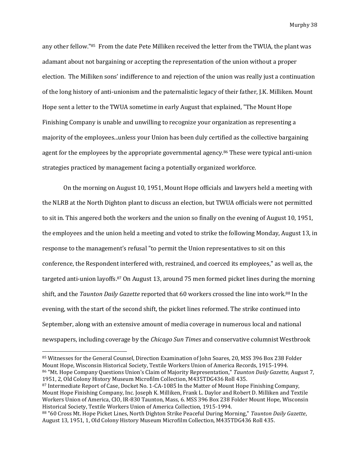any other fellow."85 From the date Pete Milliken received the letter from the TWUA, the plant was adamant about not bargaining or accepting the representation of the union without a proper election. The Milliken sons' indifference to and rejection of the union was really just a continuation of the long history of anti-unionism and the paternalistic legacy of their father, J.K. Milliken. Mount Hope sent a letter to the TWUA sometime in early August that explained, "The Mount Hope Finishing Company is unable and unwilling to recognize your organization as representing a majority of the employees...unless your Union has been duly certified as the collective bargaining agent for the employees by the appropriate governmental agency.<sup>86</sup> These were typical anti-union strategies practiced by management facing a potentially organized workforce.

On the morning on August 10, 1951, Mount Hope officials and lawyers held a meeting with the NLRB at the North Dighton plant to discuss an election, but TWUA officials were not permitted to sit in. This angered both the workers and the union so finally on the evening of August 10, 1951, the employees and the union held a meeting and voted to strike the following Monday, August 13, in response to the management's refusal "to permit the Union representatives to sit on this conference, the Respondent interfered with, restrained, and coerced its employees," as well as, the targeted anti-union layoffs.<sup>87</sup> On August 13, around 75 men formed picket lines during the morning shift, and the *Taunton Daily Gazette* reported that 60 workers crossed the line into work.<sup>88</sup> In the evening, with the start of the second shift, the picket lines reformed. The strike continued into September, along with an extensive amount of media coverage in numerous local and national newspapers, including coverage by the *Chicago Sun Times* and conservative columnist Westbrook

<sup>85</sup> Witnesses for the General Counsel, Direction Examination of John Soares, 20, MSS 396 Box 238 Folder Mount Hope, Wisconsin Historical Society, Textile Workers Union of America Records, 1915-1994. <sup>86</sup> "Mt. Hope Company Questions Union's Claim of Majority Representation," *Taunton Daily Gazette,* August 7, 1951, 2, Old Colony History Museum Microfilm Collection, M435TDG436 Roll 435.

<sup>87</sup> Intermediate Report of Case, Docket No. 1-CA-1085 In the Matter of Mount Hope Finishing Company, Mount Hope Finishing Company, Inc. Joseph K. Milliken, Frank L. Daylor and Robert D. Milliken and Textile Workers Union of America, CIO, IR-830 Taunton, Mass, 6. MSS 396 Box 238 Folder Mount Hope, Wisconsin Historical Society, Textile Workers Union of America Collection, 1915-1994.

<sup>88</sup> "60 Cross Mt. Hope Picket Lines, North Dighton Strike Peaceful During Morning," *Taunton Daily Gazette*, August 13, 1951, 1, Old Colony History Museum Microfilm Collection, M435TDG436 Roll 435.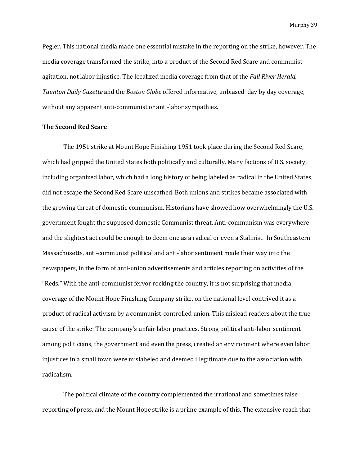Pegler. This national media made one essential mistake in the reporting on the strike, however. The media coverage transformed the strike, into a product of the Second Red Scare and communist agitation, not labor injustice. The localized media coverage from that of the *Fall River Herald, Taunton Daily Gazette* and the *Boston Globe* offered informative, unbiased day by day coverage, without any apparent anti-communist or anti-labor sympathies.

# **The Second Red Scare**

The 1951 strike at Mount Hope Finishing 1951 took place during the Second Red Scare, which had gripped the United States both politically and culturally. Many factions of U.S. society, including organized labor, which had a long history of being labeled as radical in the United States, did not escape the Second Red Scare unscathed. Both unions and strikes became associated with the growing threat of domestic communism. Historians have showed how overwhelmingly the U.S. government fought the supposed domestic Communist threat. Anti-communism was everywhere and the slightest act could be enough to deem one as a radical or even a Stalinist. In Southeastern Massachusetts, anti-communist political and anti-labor sentiment made their way into the newspapers, in the form of anti-union advertisements and articles reporting on activities of the "Reds." With the anti-communist fervor rocking the country, it is not surprising that media coverage of the Mount Hope Finishing Company strike, on the national level contrived it as a product of radical activism by a communist-controlled union. This mislead readers about the true cause of the strike: The company's unfair labor practices. Strong political anti-labor sentiment among politicians, the government and even the press, created an environment where even labor injustices in a small town were mislabeled and deemed illegitimate due to the association with radicalism.

The political climate of the country complemented the irrational and sometimes false reporting of press, and the Mount Hope strike is a prime example of this. The extensive reach that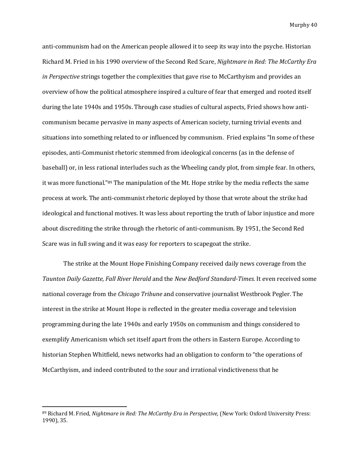anti-communism had on the American people allowed it to seep its way into the psyche. Historian Richard M. Fried in his 1990 overview of the Second Red Scare, *Nightmare in Red: The McCarthy Era in Perspective* strings together the complexities that gave rise to McCarthyism and provides an overview of how the political atmosphere inspired a culture of fear that emerged and rooted itself during the late 1940s and 1950s. Through case studies of cultural aspects, Fried shows how anticommunism became pervasive in many aspects of American society, turning trivial events and situations into something related to or influenced by communism. Fried explains "In some of these episodes, anti-Communist rhetoric stemmed from ideological concerns (as in the defense of baseball) or, in less rational interludes such as the Wheeling candy plot, from simple fear. In others, it was more functional."<sup>89</sup> The manipulation of the Mt. Hope strike by the media reflects the same process at work. The anti-communist rhetoric deployed by those that wrote about the strike had ideological and functional motives. It was less about reporting the truth of labor injustice and more about discrediting the strike through the rhetoric of anti-communism. By 1951, the Second Red Scare was in full swing and it was easy for reporters to scapegoat the strike.

The strike at the Mount Hope Finishing Company received daily news coverage from the *Taunton Daily Gazette, Fall River Herald* and the *New Bedford Standard-Times.* It even received some national coverage from the *Chicago Tribune* and conservative journalist Westbrook Pegler. The interest in the strike at Mount Hope is reflected in the greater media coverage and television programming during the late 1940s and early 1950s on communism and things considered to exemplify Americanism which set itself apart from the others in Eastern Europe. According to historian Stephen Whitfield, news networks had an obligation to conform to "the operations of McCarthyism, and indeed contributed to the sour and irrational vindictiveness that he

<sup>89</sup> Richard M. Fried, *Nightmare in Red: The McCarthy Era in Perspective,* (New York: Oxford University Press: 1990), 35.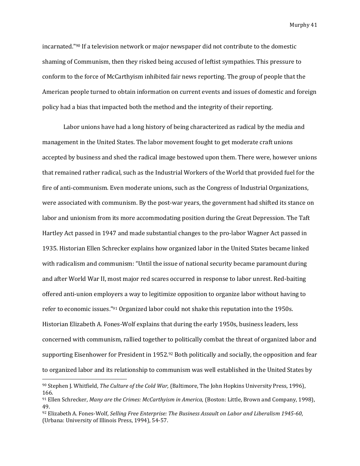incarnated."<sup>90</sup> If a television network or major newspaper did not contribute to the domestic shaming of Communism, then they risked being accused of leftist sympathies. This pressure to conform to the force of McCarthyism inhibited fair news reporting. The group of people that the American people turned to obtain information on current events and issues of domestic and foreign policy had a bias that impacted both the method and the integrity of their reporting.

Labor unions have had a long history of being characterized as radical by the media and management in the United States. The labor movement fought to get moderate craft unions accepted by business and shed the radical image bestowed upon them. There were, however unions that remained rather radical, such as the Industrial Workers of the World that provided fuel for the fire of anti-communism. Even moderate unions, such as the Congress of Industrial Organizations, were associated with communism. By the post-war years, the government had shifted its stance on labor and unionism from its more accommodating position during the Great Depression. The Taft Hartley Act passed in 1947 and made substantial changes to the pro-labor Wagner Act passed in 1935. Historian Ellen Schrecker explains how organized labor in the United States became linked with radicalism and communism: "Until the issue of national security became paramount during and after World War II, most major red scares occurred in response to labor unrest. Red-baiting offered anti-union employers a way to legitimize opposition to organize labor without having to refer to economic issues."<sup>91</sup> Organized labor could not shake this reputation into the 1950s. Historian Elizabeth A. Fones-Wolf explains that during the early 1950s, business leaders, less concerned with communism, rallied together to politically combat the threat of organized labor and supporting Eisenhower for President in 1952.<sup>92</sup> Both politically and socially, the opposition and fear to organized labor and its relationship to communism was well established in the United States by

<sup>90</sup> Stephen J. Whitfield, *The Culture of the Cold War,* (Baltimore, The John Hopkins University Press, 1996), 166.

<sup>91</sup> Ellen Schrecker, *Many are the Crimes: McCarthyism in America,* (Boston: Little, Brown and Company, 1998), 49.

<sup>92</sup> Elizabeth A. Fones-Wolf, *Selling Free Enterprise: The Business Assault on Labor and Liberalism 1945-60*, (Urbana: University of Illinois Press, 1994), 54-57.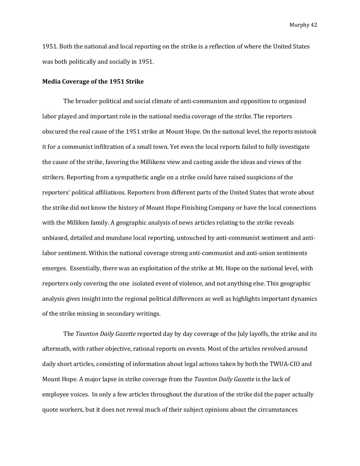1951. Both the national and local reporting on the strike is a reflection of where the United States was both politically and socially in 1951.

#### **Media Coverage of the 1951 Strike**

The broader political and social climate of anti-communism and opposition to organized labor played and important role in the national media coverage of the strike. The reporters obscured the real cause of the 1951 strike at Mount Hope. On the national level, the reports mistook it for a communist infiltration of a small town. Yet even the local reports failed to fully investigate the cause of the strike, favoring the Millikens view and casting aside the ideas and views of the strikers. Reporting from a sympathetic angle on a strike could have raised suspicions of the reporters' political affiliations. Reporters from different parts of the United States that wrote about the strike did not know the history of Mount Hope Finishing Company or have the local connections with the Milliken family. A geographic analysis of news articles relating to the strike reveals unbiased, detailed and mundane local reporting, untouched by anti-communist sentiment and antilabor sentiment. Within the national coverage strong anti-communist and anti-union sentiments emerges. Essentially, there was an exploitation of the strike at Mt. Hope on the national level, with reporters only covering the one isolated event of violence, and not anything else. This geographic analysis gives insight into the regional political differences as well as highlights important dynamics of the strike missing in secondary writings.

The *Taunton Daily Gazette* reported day by day coverage of the July layoffs, the strike and its aftermath, with rather objective, rational reports on events. Most of the articles revolved around daily short articles, consisting of information about legal actions taken by both the TWUA-CIO and Mount Hope. A major lapse in strike coverage from the *Taunton Daily Gazette* is the lack of employee voices. In only a few articles throughout the duration of the strike did the paper actually quote workers, but it does not reveal much of their subject opinions about the circumstances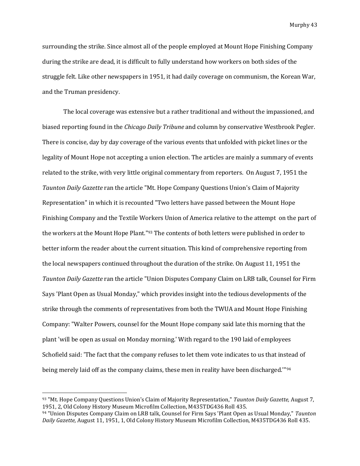surrounding the strike. Since almost all of the people employed at Mount Hope Finishing Company during the strike are dead, it is difficult to fully understand how workers on both sides of the struggle felt. Like other newspapers in 1951, it had daily coverage on communism, the Korean War, and the Truman presidency.

The local coverage was extensive but a rather traditional and without the impassioned, and biased reporting found in the *Chicago Daily Tribune* and column by conservative Westbrook Pegler. There is concise, day by day coverage of the various events that unfolded with picket lines or the legality of Mount Hope not accepting a union election. The articles are mainly a summary of events related to the strike, with very little original commentary from reporters. On August 7, 1951 the *Taunton Daily Gazette* ran the article "Mt. Hope Company Questions Union's Claim of Majority Representation" in which it is recounted "Two letters have passed between the Mount Hope Finishing Company and the Textile Workers Union of America relative to the attempt on the part of the workers at the Mount Hope Plant."<sup>93</sup> The contents of both letters were published in order to better inform the reader about the current situation. This kind of comprehensive reporting from the local newspapers continued throughout the duration of the strike. On August 11, 1951 the *Taunton Daily Gazette* ran the article "Union Disputes Company Claim on LRB talk, Counsel for Firm Says 'Plant Open as Usual Monday," which provides insight into the tedious developments of the strike through the comments of representatives from both the TWUA and Mount Hope Finishing Company: "Walter Powers, counsel for the Mount Hope company said late this morning that the plant 'will be open as usual on Monday morning.' With regard to the 190 laid of employees Schofield said: 'The fact that the company refuses to let them vote indicates to us that instead of being merely laid off as the company claims, these men in reality have been discharged.'"<sup>94</sup>

<sup>93</sup> "Mt. Hope Company Questions Union's Claim of Majority Representation," *Taunton Daily Gazette,* August 7, 1951, 2, Old Colony History Museum Microfilm Collection, M435TDG436 Roll 435.

<sup>94</sup> "Union Disputes Company Claim on LRB talk, Counsel for Firm Says 'Plant Open as Usual Monday," *Taunton Daily Gazette,* August 11, 1951, 1, Old Colony History Museum Microfilm Collection, M435TDG436 Roll 435.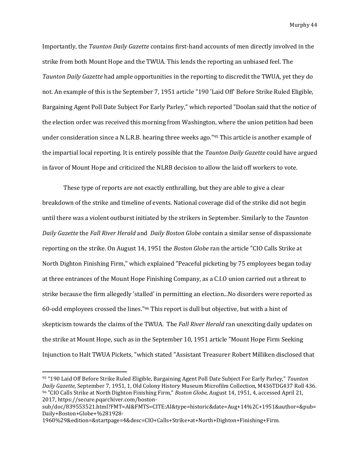Importantly, the *Taunton Daily Gazette* contains first-hand accounts of men directly involved in the strike from both Mount Hope and the TWUA. This lends the reporting an unbiased feel. The *Taunton Daily Gazette* had ample opportunities in the reporting to discredit the TWUA, yet they do not. An example of this is the September 7, 1951 article "190 'Laid Off' Before Strike Ruled Eligible, Bargaining Agent Poll Date Subject For Early Parley," which reported "Doolan said that the notice of the election order was received this morning from Washington, where the union petition had been under consideration since a N.L.R.B. hearing three weeks ago."<sup>95</sup> This article is another example of the impartial local reporting. It is entirely possible that the *Taunton Daily Gazette* could have argued in favor of Mount Hope and criticized the NLRB decision to allow the laid off workers to vote.

These type of reports are not exactly enthralling, but they are able to give a clear breakdown of the strike and timeline of events. National coverage did of the strike did not begin until there was a violent outburst initiated by the strikers in September. Similarly to the *Taunton Daily Gazette* the *Fall River Herald* and *Daily Boston Globe* contain a similar sense of dispassionate reporting on the strike. On August 14, 1951 the *Boston Globe* ran the article "CIO Calls Strike at North Dighton Finishing Firm," which explained "Peaceful picketing by 75 employees began today at three entrances of the Mount Hope Finishing Company, as a C.I.O union carried out a threat to strike because the firm allegedly 'stalled' in permitting an election...No disorders were reported as 60-odd employees crossed the lines."<sup>96</sup> This report is dull but objective, but with a hint of skepticism towards the claims of the TWUA. The *Fall River Herald* ran unexciting daily updates on the strike at Mount Hope, such as in the September 10, 1951 article "Mount Hope Firm Seeking Injunction to Halt TWUA Pickets, "which stated "Assistant Treasurer Robert Milliken disclosed that

<sup>95</sup> "190 Laid Off Before Strike Ruled Eligible, Bargaining Agent Poll Date Subject For Early Parley," *Taunton Daily Gazette,* September 7, 1951, 1, Old Colony History Museum Microfilm Collection, M436TDG437 Roll 436. <sup>96</sup> "CIO Calls Strike at North Dighton Finishing Firm," *Boston Globe,* August 14, 1951, 4, accessed April 21, 2017, https://secure.pqarchiver.com/boston-

sub/doc/839553521.html?FMT=AI&FMTS=CITE:AI&type=historic&date=Aug+14%2C+1951&author=&pub= Daily+Boston+Globe+%281928-

<sup>1960%29&</sup>amp;edition=&startpage=4&desc=CIO+Calls+Strike+at+North+Dighton+Finishing+Firm.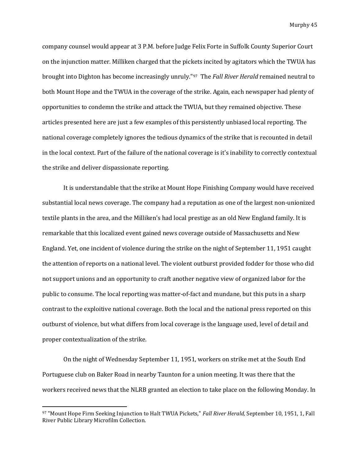company counsel would appear at 3 P.M. before Judge Felix Forte in Suffolk County Superior Court on the injunction matter. Milliken charged that the pickets incited by agitators which the TWUA has brought into Dighton has become increasingly unruly."<sup>97</sup> The *Fall River Herald* remained neutral to both Mount Hope and the TWUA in the coverage of the strike. Again, each newspaper had plenty of opportunities to condemn the strike and attack the TWUA, but they remained objective. These articles presented here are just a few examples of this persistently unbiased local reporting. The national coverage completely ignores the tedious dynamics of the strike that is recounted in detail in the local context. Part of the failure of the national coverage is it's inability to correctly contextual the strike and deliver dispassionate reporting.

It is understandable that the strike at Mount Hope Finishing Company would have received substantial local news coverage. The company had a reputation as one of the largest non-unionized textile plants in the area, and the Milliken's had local prestige as an old New England family. It is remarkable that this localized event gained news coverage outside of Massachusetts and New England. Yet, one incident of violence during the strike on the night of September 11, 1951 caught the attention of reports on a national level. The violent outburst provided fodder for those who did not support unions and an opportunity to craft another negative view of organized labor for the public to consume. The local reporting was matter-of-fact and mundane, but this puts in a sharp contrast to the exploitive national coverage. Both the local and the national press reported on this outburst of violence, but what differs from local coverage is the language used, level of detail and proper contextualization of the strike.

On the night of Wednesday September 11, 1951, workers on strike met at the South End Portuguese club on Baker Road in nearby Taunton for a union meeting. It was there that the workers received news that the NLRB granted an election to take place on the following Monday. In

<sup>97</sup> "Mount Hope Firm Seeking Injunction to Halt TWUA Pickets," *Fall River Herald,* September 10, 1951, 1, Fall River Public Library Microfilm Collection.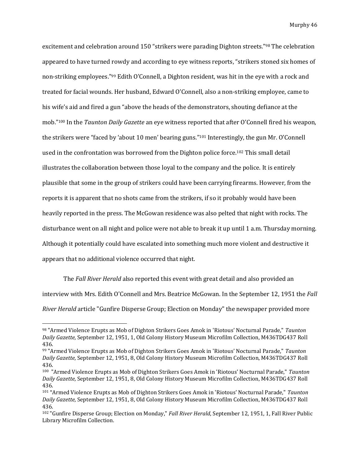excitement and celebration around 150 "strikers were parading Dighton streets."<sup>98</sup> The celebration appeared to have turned rowdy and according to eye witness reports, "strikers stoned six homes of non-striking employees."<sup>99</sup> Edith O'Connell, a Dighton resident, was hit in the eye with a rock and treated for facial wounds. Her husband, Edward O'Connell, also a non-striking employee, came to his wife's aid and fired a gun "above the heads of the demonstrators, shouting defiance at the mob."<sup>100</sup> In the *Taunton Daily Gazette* an eye witness reported that after O'Connell fired his weapon, the strikers were "faced by 'about 10 men' bearing guns."<sup>101</sup> Interestingly, the gun Mr. O'Connell used in the confrontation was borrowed from the Dighton police force.<sup>102</sup> This small detail illustrates the collaboration between those loyal to the company and the police. It is entirely plausible that some in the group of strikers could have been carrying firearms. However, from the reports it is apparent that no shots came from the strikers, if so it probably would have been heavily reported in the press. The McGowan residence was also pelted that night with rocks. The disturbance went on all night and police were not able to break it up until 1 a.m. Thursday morning. Although it potentially could have escalated into something much more violent and destructive it appears that no additional violence occurred that night.

The *Fall River Herald* also reported this event with great detail and also provided an interview with Mrs. Edith O'Connell and Mrs. Beatrice McGowan. In the September 12, 1951 the *Fall River Herald* article "Gunfire Disperse Group; Election on Monday" the newspaper provided more

<sup>98</sup> "Armed Violence Erupts as Mob of Dighton Strikers Goes Amok in 'Riotous' Nocturnal Parade," *Taunton Daily Gazette,* September 12, 1951, 1, Old Colony History Museum Microfilm Collection, M436TDG437 Roll 436.

<sup>99</sup> "Armed Violence Erupts as Mob of Dighton Strikers Goes Amok in 'Riotous' Nocturnal Parade," *Taunton Daily Gazette,* September 12, 1951, 8, Old Colony History Museum Microfilm Collection, M436TDG437 Roll 436.

<sup>100</sup> "Armed Violence Erupts as Mob of Dighton Strikers Goes Amok in 'Riotous' Nocturnal Parade," *Taunton Daily Gazette,* September 12, 1951, 8, Old Colony History Museum Microfilm Collection, M436TDG437 Roll 436.

<sup>101</sup> "Armed Violence Erupts as Mob of Dighton Strikers Goes Amok in 'Riotous' Nocturnal Parade," *Taunton Daily Gazette,* September 12, 1951, 8, Old Colony History Museum Microfilm Collection, M436TDG437 Roll 436.

<sup>102</sup> "Gunfire Disperse Group; Election on Monday," *Fall River Herald*, September 12, 1951, 1, Fall River Public Library Microfilm Collection.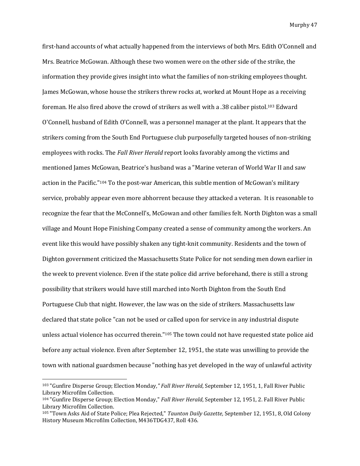first-hand accounts of what actually happened from the interviews of both Mrs. Edith O'Connell and Mrs. Beatrice McGowan. Although these two women were on the other side of the strike, the information they provide gives insight into what the families of non-striking employees thought. James McGowan, whose house the strikers threw rocks at, worked at Mount Hope as a receiving foreman. He also fired above the crowd of strikers as well with a .38 caliber pistol.<sup>103</sup> Edward O'Connell, husband of Edith O'Connell, was a personnel manager at the plant. It appears that the strikers coming from the South End Portuguese club purposefully targeted houses of non-striking employees with rocks. The *Fall River Herald* report looks favorably among the victims and mentioned James McGowan, Beatrice's husband was a "Marine veteran of World War II and saw action in the Pacific."<sup>104</sup> To the post-war American, this subtle mention of McGowan's military service, probably appear even more abhorrent because they attacked a veteran. It is reasonable to recognize the fear that the McConnell's, McGowan and other families felt. North Dighton was a small village and Mount Hope Finishing Company created a sense of community among the workers. An event like this would have possibly shaken any tight-knit community. Residents and the town of Dighton government criticized the Massachusetts State Police for not sending men down earlier in the week to prevent violence. Even if the state police did arrive beforehand, there is still a strong possibility that strikers would have still marched into North Dighton from the South End Portuguese Club that night. However, the law was on the side of strikers. Massachusetts law declared that state police "can not be used or called upon for service in any industrial dispute unless actual violence has occurred therein."<sup>105</sup> The town could not have requested state police aid before any actual violence. Even after September 12, 1951, the state was unwilling to provide the town with national guardsmen because "nothing has yet developed in the way of unlawful activity

<sup>103</sup> "Gunfire Disperse Group; Election Monday*," Fall River Herald*, September 12, 1951, 1, Fall River Public Library Microfilm Collection.

<sup>104</sup> "Gunfire Disperse Group; Election Monday," *Fall River Herald*, September 12, 1951, 2. Fall River Public Library Microfilm Collection.

<sup>105</sup> "Town Asks Aid of State Police; Plea Rejected," *Taunton Daily Gazette,* September 12, 1951, 8, Old Colony History Museum Microfilm Collection, M436TDG437, Roll 436.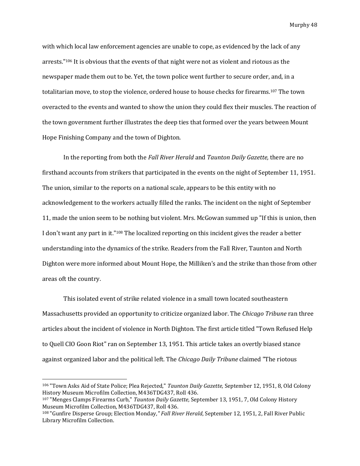with which local law enforcement agencies are unable to cope, as evidenced by the lack of any arrests."<sup>106</sup> It is obvious that the events of that night were not as violent and riotous as the newspaper made them out to be. Yet, the town police went further to secure order, and, in a totalitarian move, to stop the violence, ordered house to house checks for firearms.<sup>107</sup> The town overacted to the events and wanted to show the union they could flex their muscles. The reaction of the town government further illustrates the deep ties that formed over the years between Mount Hope Finishing Company and the town of Dighton.

In the reporting from both the *Fall River Herald* and *Taunton Daily Gazette,* there are no firsthand accounts from strikers that participated in the events on the night of September 11, 1951. The union, similar to the reports on a national scale, appears to be this entity with no acknowledgement to the workers actually filled the ranks. The incident on the night of September 11, made the union seem to be nothing but violent. Mrs. McGowan summed up "If this is union, then I don't want any part in it."<sup>108</sup> The localized reporting on this incident gives the reader a better understanding into the dynamics of the strike. Readers from the Fall River, Taunton and North Dighton were more informed about Mount Hope, the Milliken's and the strike than those from other areas oft the country.

This isolated event of strike related violence in a small town located southeastern Massachusetts provided an opportunity to criticize organized labor. The *Chicago Tribune* ran three articles about the incident of violence in North Dighton. The first article titled "Town Refused Help to Quell CIO Goon Riot" ran on September 13, 1951. This article takes an overtly biased stance against organized labor and the political left. The *Chicago Daily Tribune* claimed "The riotous

<sup>106</sup> "Town Asks Aid of State Police; Plea Rejected," *Taunton Daily Gazette,* September 12, 1951, 8, Old Colony History Museum Microfilm Collection, M436TDG437, Roll 436.

<sup>107</sup> "Menges Clamps Firearms Curb," *Taunton Daily Gazette,* September 13, 1951, 7, Old Colony History Museum Microfilm Collection, M436TDG437, Roll 436.

<sup>108</sup> "Gunfire Disperse Group; Election Monday*," Fall River Herald*, September 12, 1951, 2, Fall River Public Library Microfilm Collection.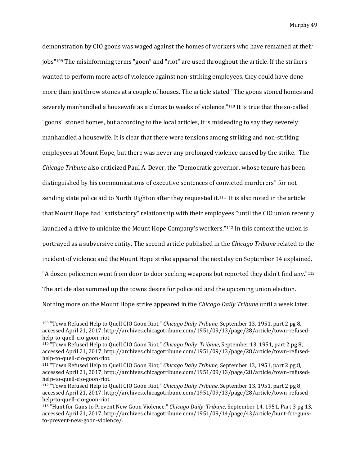demonstration by CIO goons was waged against the homes of workers who have remained at their jobs" <sup>109</sup> The misinforming terms "goon" and "riot" are used throughout the article. If the strikers wanted to perform more acts of violence against non-striking employees, they could have done more than just throw stones at a couple of houses. The article stated "The goons stoned homes and severely manhandled a housewife as a climax to weeks of violence."<sup>110</sup> It is true that the so-called "goons" stoned homes, but according to the local articles, it is misleading to say they severely manhandled a housewife. It is clear that there were tensions among striking and non-striking employees at Mount Hope, but there was never any prolonged violence caused by the strike. The *Chicago Tribune* also criticized Paul A. Dever, the "Democratic governor, whose tenure has been distinguished by his communications of executive sentences of convicted murderers" for not sending state police aid to North Dighton after they requested it.111 It is also noted in the article that Mount Hope had "satisfactory" relationship with their employees "until the CIO union recently launched a drive to unionize the Mount Hope Company's workers."<sup>112</sup> In this context the union is portrayed as a subversive entity. The second article published in the *Chicago Tribune* related to the incident of violence and the Mount Hope strike appeared the next day on September 14 explained, "A dozen policemen went from door to door seeking weapons but reported they didn't find any."<sup>113</sup> The article also summed up the towns desire for police aid and the upcoming union election. Nothing more on the Mount Hope strike appeared in the *Chicago Daily Tribune* until a week later.

l

<sup>109</sup> "Town Refused Help to Quell CIO Goon Riot," *Chicago Daily Tribune,* September 13, 1951, part 2 pg 8, accessed April 21, 2017, http://archives.chicagotribune.com/1951/09/13/page/28/article/town-refusedhelp-to-quell-cio-goon-riot.

<sup>110</sup> "Town Refused Help to Quell CIO Goon Riot," *Chicago Daily Tribune*, September 13, 1951, part 2 pg 8, accessed April 21, 2017, http://archives.chicagotribune.com/1951/09/13/page/28/article/town-refusedhelp-to-quell-cio-goon-riot.

<sup>111</sup> "Town Refused Help to Quell CIO Goon Riot," *Chicago Daily Tribune,* September 13, 1951, part 2 pg 8, accessed April 21, 2017, http://archives.chicagotribune.com/1951/09/13/page/28/article/town-refusedhelp-to-quell-cio-goon-riot.

<sup>112</sup> "Town Refused Help to Quell CIO Goon Riot," *Chicago Daily Tribune*, September 13, 1951, part 2 pg 8, accessed April 21, 2017, http://archives.chicagotribune.com/1951/09/13/page/28/article/town-refusedhelp-to-quell-cio-goon-riot.

<sup>113</sup> "Hunt for Guns to Prevent New Goon Violence," *Chicago Daily Tribune*, September 14, 1951, Part 3 pg 13, accessed April 21, 2017, http://archives.chicagotribune.com/1951/09/14/page/43/article/hunt-for-gunsto-prevent-new-goon-violence/.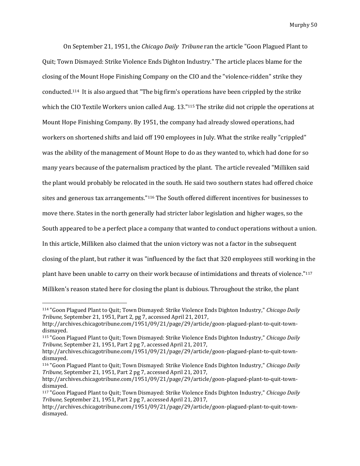On September 21, 1951, the *Chicago Daily Tribune* ran the article "Goon Plagued Plant to Quit; Town Dismayed: Strike Violence Ends Dighton Industry." The article places blame for the closing of the Mount Hope Finishing Company on the CIO and the "violence-ridden" strike they conducted. <sup>114</sup> It is also argued that "The big firm's operations have been crippled by the strike which the CIO Textile Workers union called Aug. 13."<sup>115</sup> The strike did not cripple the operations at Mount Hope Finishing Company. By 1951, the company had already slowed operations, had workers on shortened shifts and laid off 190 employees in July. What the strike really "crippled" was the ability of the management of Mount Hope to do as they wanted to, which had done for so many years because of the paternalism practiced by the plant. The article revealed "Milliken said the plant would probably be relocated in the south. He said two southern states had offered choice sites and generous tax arrangements."<sup>116</sup> The South offered different incentives for businesses to move there. States in the north generally had stricter labor legislation and higher wages, so the South appeared to be a perfect place a company that wanted to conduct operations without a union. In this article, Milliken also claimed that the union victory was not a factor in the subsequent closing of the plant, but rather it was "influenced by the fact that 320 employees still working in the plant have been unable to carry on their work because of intimidations and threats of violence."<sup>117</sup> Milliken's reason stated here for closing the plant is dubious. Throughout the strike, the plant

<sup>114</sup> "Goon Plagued Plant to Quit; Town Dismayed: Strike Violence Ends Dighton Industry," *Chicago Daily Tribune,* September 21, 1951, Part 2, pg 7, accessed April 21, 2017,

http://archives.chicagotribune.com/1951/09/21/page/29/article/goon-plagued-plant-to-quit-towndismayed.

<sup>115</sup> "Goon Plagued Plant to Quit; Town Dismayed: Strike Violence Ends Dighton Industry," *Chicago Daily Tribune,* September 21, 1951, Part 2 pg 7, accessed April 21, 2017,

http://archives.chicagotribune.com/1951/09/21/page/29/article/goon-plagued-plant-to-quit-towndismayed.

<sup>116</sup> "Goon Plagued Plant to Quit; Town Dismayed: Strike Violence Ends Dighton Industry," *Chicago Daily Tribune,* September 21, 1951, Part 2 pg 7, accessed April 21, 2017,

http://archives.chicagotribune.com/1951/09/21/page/29/article/goon-plagued-plant-to-quit-towndismayed.

<sup>117</sup> "Goon Plagued Plant to Quit; Town Dismayed: Strike Violence Ends Dighton Industry," *Chicago Daily Tribune,* September 21, 1951, Part 2 pg 7, accessed April 21, 2017,

http://archives.chicagotribune.com/1951/09/21/page/29/article/goon-plagued-plant-to-quit-towndismayed.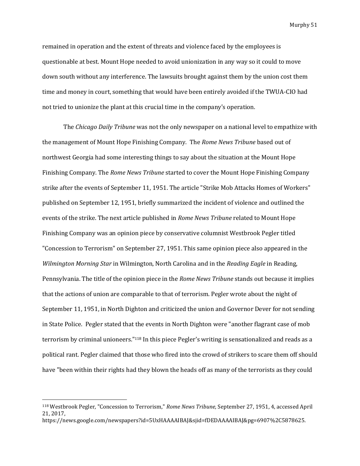remained in operation and the extent of threats and violence faced by the employees is questionable at best. Mount Hope needed to avoid unionization in any way so it could to move down south without any interference. The lawsuits brought against them by the union cost them time and money in court, something that would have been entirely avoided if the TWUA-CIO had not tried to unionize the plant at this crucial time in the company's operation.

The *Chicago Daily Tribune* was not the only newspaper on a national level to empathize with the management of Mount Hope Finishing Company. The *Rome News Tribune* based out of northwest Georgia had some interesting things to say about the situation at the Mount Hope Finishing Company. The *Rome News Tribune* started to cover the Mount Hope Finishing Company strike after the events of September 11, 1951. The article "Strike Mob Attacks Homes of Workers" published on September 12, 1951, briefly summarized the incident of violence and outlined the events of the strike. The next article published in *Rome News Tribune* related to Mount Hope Finishing Company was an opinion piece by conservative columnist Westbrook Pegler titled "Concession to Terrorism" on September 27, 1951. This same opinion piece also appeared in the *Wilmington Morning Star* in Wilmington, North Carolina and in the *Reading Eagle* in Reading, Pennsylvania. The title of the opinion piece in the *Rome News Tribune* stands out because it implies that the actions of union are comparable to that of terrorism. Pegler wrote about the night of September 11, 1951, in North Dighton and criticized the union and Governor Dever for not sending in State Police. Pegler stated that the events in North Dighton were "another flagrant case of mob terrorism by criminal unioneers."<sup>118</sup> In this piece Pegler's writing is sensationalized and reads as a political rant. Pegler claimed that those who fired into the crowd of strikers to scare them off should have "been within their rights had they blown the heads off as many of the terrorists as they could

<sup>118</sup> Westbrook Pegler, "Concession to Terrorism," *Rome News Tribune,* September 27, 1951, 4, accessed April 21, 2017,

https://news.google.com/newspapers?id=5UxHAAAAIBAJ&sjid=fDEDAAAAIBAJ&pg=6907%2C5878625.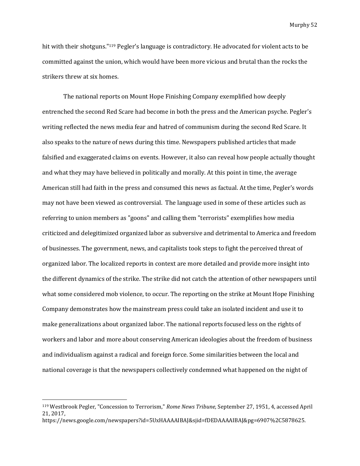hit with their shotguns."<sup>119</sup> Pegler's language is contradictory. He advocated for violent acts to be committed against the union, which would have been more vicious and brutal than the rocks the strikers threw at six homes.

The national reports on Mount Hope Finishing Company exemplified how deeply entrenched the second Red Scare had become in both the press and the American psyche. Pegler's writing reflected the news media fear and hatred of communism during the second Red Scare. It also speaks to the nature of news during this time. Newspapers published articles that made falsified and exaggerated claims on events. However, it also can reveal how people actually thought and what they may have believed in politically and morally. At this point in time, the average American still had faith in the press and consumed this news as factual. At the time, Pegler's words may not have been viewed as controversial. The language used in some of these articles such as referring to union members as "goons" and calling them "terrorists" exemplifies how media criticized and delegitimized organized labor as subversive and detrimental to America and freedom of businesses. The government, news, and capitalists took steps to fight the perceived threat of organized labor. The localized reports in context are more detailed and provide more insight into the different dynamics of the strike. The strike did not catch the attention of other newspapers until what some considered mob violence, to occur. The reporting on the strike at Mount Hope Finishing Company demonstrates how the mainstream press could take an isolated incident and use it to make generalizations about organized labor. The national reports focused less on the rights of workers and labor and more about conserving American ideologies about the freedom of business and individualism against a radical and foreign force. Some similarities between the local and national coverage is that the newspapers collectively condemned what happened on the night of

<sup>119</sup> Westbrook Pegler, "Concession to Terrorism," *Rome News Tribune,* September 27, 1951, 4, accessed April 21, 2017,

https://news.google.com/newspapers?id=5UxHAAAAIBAJ&sjid=fDEDAAAAIBAJ&pg=6907%2C5878625.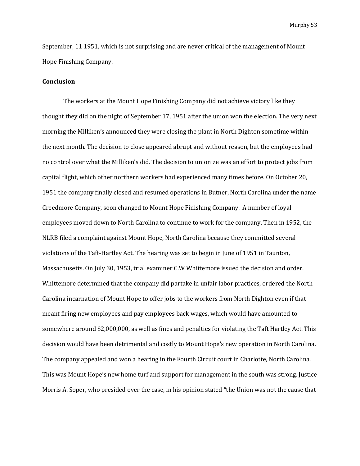September, 11 1951, which is not surprising and are never critical of the management of Mount Hope Finishing Company.

# **Conclusion**

The workers at the Mount Hope Finishing Company did not achieve victory like they thought they did on the night of September 17, 1951 after the union won the election. The very next morning the Milliken's announced they were closing the plant in North Dighton sometime within the next month. The decision to close appeared abrupt and without reason, but the employees had no control over what the Milliken's did. The decision to unionize was an effort to protect jobs from capital flight, which other northern workers had experienced many times before. On October 20, 1951 the company finally closed and resumed operations in Butner, North Carolina under the name Creedmore Company, soon changed to Mount Hope Finishing Company. A number of loyal employees moved down to North Carolina to continue to work for the company. Then in 1952, the NLRB filed a complaint against Mount Hope, North Carolina because they committed several violations of the Taft-Hartley Act. The hearing was set to begin in June of 1951 in Taunton, Massachusetts. On July 30, 1953, trial examiner C.W Whittemore issued the decision and order. Whittemore determined that the company did partake in unfair labor practices, ordered the North Carolina incarnation of Mount Hope to offer jobs to the workers from North Dighton even if that meant firing new employees and pay employees back wages, which would have amounted to somewhere around \$2,000,000, as well as fines and penalties for violating the Taft Hartley Act. This decision would have been detrimental and costly to Mount Hope's new operation in North Carolina. The company appealed and won a hearing in the Fourth Circuit court in Charlotte, North Carolina. This was Mount Hope's new home turf and support for management in the south was strong. Justice Morris A. Soper, who presided over the case, in his opinion stated "the Union was not the cause that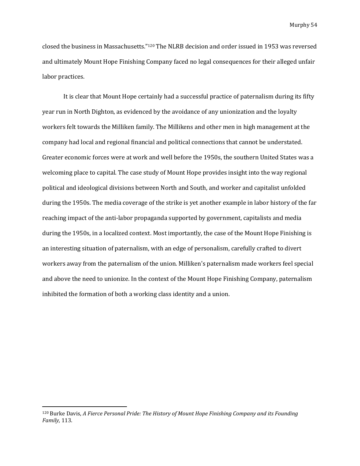closed the business in Massachusetts."<sup>120</sup> The NLRB decision and order issued in 1953 was reversed and ultimately Mount Hope Finishing Company faced no legal consequences for their alleged unfair labor practices.

It is clear that Mount Hope certainly had a successful practice of paternalism during its fifty year run in North Dighton, as evidenced by the avoidance of any unionization and the loyalty workers felt towards the Milliken family. The Millikens and other men in high management at the company had local and regional financial and political connections that cannot be understated. Greater economic forces were at work and well before the 1950s, the southern United States was a welcoming place to capital. The case study of Mount Hope provides insight into the way regional political and ideological divisions between North and South, and worker and capitalist unfolded during the 1950s. The media coverage of the strike is yet another example in labor history of the far reaching impact of the anti-labor propaganda supported by government, capitalists and media during the 1950s, in a localized context. Most importantly, the case of the Mount Hope Finishing is an interesting situation of paternalism, with an edge of personalism, carefully crafted to divert workers away from the paternalism of the union. Milliken's paternalism made workers feel special and above the need to unionize. In the context of the Mount Hope Finishing Company, paternalism inhibited the formation of both a working class identity and a union.

<sup>120</sup> Burke Davis, *A Fierce Personal Pride: The History of Mount Hope Finishing Company and its Founding Family,* 113.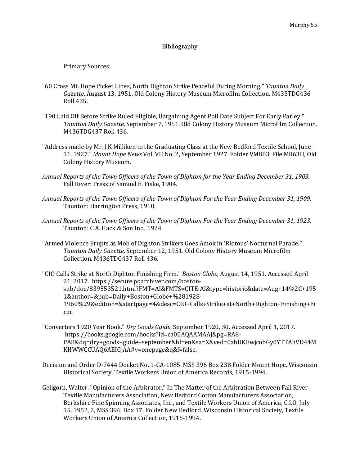# Bibliography

Primary Sources:

- "60 Cross Mt. Hope Picket Lines, North Dighton Strike Peaceful During Morning." *Taunton Daily Gazette*, August 13, 1951. Old Colony History Museum Microfilm Collection. M435TDG436 Roll 435.
- "190 Laid Off Before Strike Ruled Eligible, Bargaining Agent Poll Date Subject For Early Parley." *Taunton Daily Gazette,* September 7, 1951. Old Colony History Museum Microfilm Collection. M436TDG437 Roll 436.
- "Address made by Mr. J.K Milliken to the Graduating Class at the New Bedford Textile School, June 11, 1927." *Mount Hope News* Vol. VII No. 2, September 1927. Folder VM863, File M863H, Old Colony History Museum.
- *Annual Reports of the Town Officers of the Town of Dighton for the Year Ending December 31, 1903.*  Fall River: Press of Samuel E. Fiske, 1904.
- *Annual Reports of the Town Officers of the Town of Dighton For the Year Ending December 31, 1909*. Taunton: Harrington Press, 1910.
- *Annual Reports of the Town Officers of the Town of Dighton For the Year Ending December 31, 1923.*  Taunton: C.A. Hack & Son Inc., 1924.
- "Armed Violence Erupts as Mob of Dighton Strikers Goes Amok in 'Riotous' Nocturnal Parade." *Taunton Daily Gazette,* September 12, 1951. Old Colony History Museum Microfilm Collection. M436TDG437 Roll 436.
- "CIO Calls Strike at North Dighton Finishing Firm." *Boston Globe,* August 14, 1951. Accessed April 21, 2017. https://secure.pqarchiver.com/bostonsub/doc/839553521.html?FMT=AI&FMTS=CITE:AI&type=historic&date=Aug+14%2C+195 1&author=&pub=Daily+Boston+Globe+%281928- 1960%29&edition=&startpage=4&desc=CIO+Calls+Strike+at+North+Dighton+Finishing+Fi rm.
- "Converters 1920 Year Book." *Dry Goods Guide*, September 1920, 30. Accessed April 1, 2017. https://books.google.com/books?id=ca00AQAAMAAJ&pg=RA8- PA8&dq=dry+goods+guide+september&hl=en&sa=X&ved=0ahUKEwjcobGy0YTTAhVD44M KHWWCCUAQ6AEIGjAA#v=onepage&q&f=false.
- Decision and Order D-7444 Docket No. 1-CA-1085. MSS 396 Box 238 Folder Mount Hope. Wisconsin Historical Society, Textile Workers Union of America Records, 1915-1994.
- Gellgorn, Walter. "Opinion of the Arbitrator," In The Matter of the Arbitration Between Fall River Textile Manufacturers Association, New Bedford Cotton Manufacturers Association, Berkshire Fine Spinning Associates, Inc., and Textile Workers Union of America, C.I.O, July 15, 1952, 2, MSS 396, Box 17, Folder New Bedford. Wisconsin Historical Society, Textile Workers Union of America Collection, 1915-1994.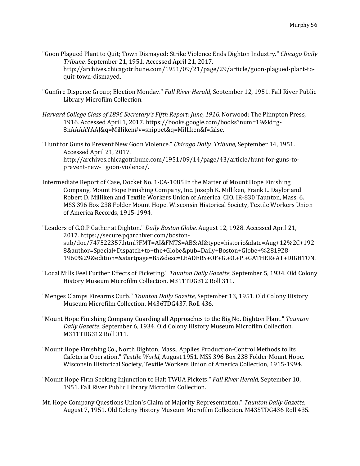- "Goon Plagued Plant to Quit; Town Dismayed: Strike Violence Ends Dighton Industry." *Chicago Daily Tribune.* September 21, 1951. Accessed April 21, 2017. http://archives.chicagotribune.com/1951/09/21/page/29/article/goon-plagued-plant-toquit-town-dismayed.
- "Gunfire Disperse Group; Election Monday." *Fall River Herald*, September 12, 1951. Fall River Public Library Microfilm Collection.
- *Harvard College Class of 1896 Secretary's Fifth Report: June, 1916.* Norwood: The Plimpton Press, 1916. Accessed April 1, 2017. https://books.google.com/books?num=19&id=g-8nAAAAYAAJ&q=Milliken#v=snippet&q=Milliken&f=false.
- "Hunt for Guns to Prevent New Goon Violence." *Chicago Daily Tribune*, September 14, 1951. Accessed April 21, 2017. http://archives.chicagotribune.com/1951/09/14/page/43/article/hunt-for-guns-toprevent-new- goon-violence/.
- Intermediate Report of Case, Docket No. 1-CA-1085 In the Matter of Mount Hope Finishing Company, Mount Hope Finishing Company, Inc. Joseph K. Milliken, Frank L. Daylor and Robert D. Milliken and Textile Workers Union of America, CIO. IR-830 Taunton, Mass, 6. MSS 396 Box 238 Folder Mount Hope. Wisconsin Historical Society, Textile Workers Union of America Records, 1915-1994.

"Leaders of G.O.P Gather at Dighton." *Daily Boston Globe.* August 12, 1928. Accessed April 21, 2017. https://secure.pqarchiver.com/bostonsub/doc/747522357.html?FMT=AI&FMTS=ABS:AI&type=historic&date=Aug+12%2C+192 8&author=Special+Dispatch+to+the+Globe&pub=Daily+Boston+Globe+%281928- 1960%29&edition=&startpage=B5&desc=LEADERS+OF+G.+O.+P.+GATHER+AT+DIGHTON.

- "Local Mills Feel Further Effects of Picketing." *Taunton Daily Gazette*, September 5, 1934. Old Colony History Museum Microfilm Collection. M311TDG312 Roll 311.
- "Menges Clamps Firearms Curb." *Taunton Daily Gazette,* September 13, 1951. Old Colony History Museum Microfilm Collection. M436TDG437. Roll 436.
- "Mount Hope Finishing Company Guarding all Approaches to the Big No. Dighton Plant." *Taunton Daily Gazette*, September 6, 1934. Old Colony History Museum Microfilm Collection. M311TDG312 Roll 311.
- "Mount Hope Finishing Co., North Dighton, Mass., Applies Production-Control Methods to Its Cafeteria Operation." *Textile World*, August 1951. MSS 396 Box 238 Folder Mount Hope. Wisconsin Historical Society, Textile Workers Union of America Collection, 1915-1994.
- "Mount Hope Firm Seeking Injunction to Halt TWUA Pickets." *Fall River Herald,* September 10, 1951. Fall River Public Library Microfilm Collection.
- Mt. Hope Company Questions Union's Claim of Majority Representation." *Taunton Daily Gazette,*  August 7, 1951. Old Colony History Museum Microfilm Collection. M435TDG436 Roll 435.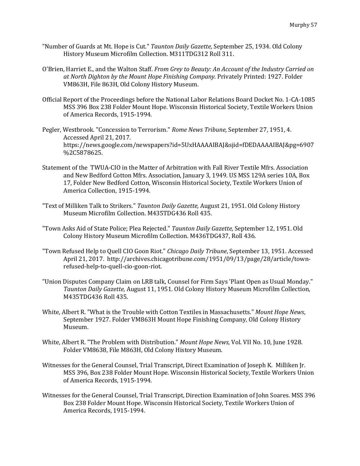- "Number of Guards at Mt. Hope is Cut." *Taunton Daily Gazette,* September 25, 1934. Old Colony History Museum Microfilm Collection. M311TDG312 Roll 311.
- O'Brien, Harriet E., and the Walton Staff. *From Grey to Beauty: An Account of the Industry Carried on at North Dighton by the Mount Hope Finishing Company.* Privately Printed: 1927. Folder VM863H, File 863H, Old Colony History Museum.
- Official Report of the Proceedings before the National Labor Relations Board Docket No. 1-CA-1085 MSS 396 Box 238 Folder Mount Hope. Wisconsin Historical Society, Textile Workers Union of America Records, 1915-1994.
- Pegler, Westbrook. "Concession to Terrorism." *Rome News Tribune,* September 27, 1951, 4. Accessed April 21, 2017. https://news.google.com/newspapers?id=5UxHAAAAIBAJ&sjid=fDEDAAAAIBAJ&pg=6907 %2C5878625.
- Statement of the TWUA-CIO in the Matter of Arbitration with Fall River Textile Mfrs. Association and New Bedford Cotton Mfrs. Association, January 3, 1949. US MSS 129A series 10A, Box 17, Folder New Bedford Cotton, Wisconsin Historical Society, Textile Workers Union of America Collection, 1915-1994.
- "Text of Milliken Talk to Strikers." *Taunton Daily Gazette,* August 21, 1951. Old Colony History Museum Microfilm Collection. M435TDG436 Roll 435.
- "Town Asks Aid of State Police; Plea Rejected." *Taunton Daily Gazette,* September 12, 1951. Old Colony History Museum Microfilm Collection. M436TDG437, Roll 436.
- "Town Refused Help to Quell CIO Goon Riot." *Chicago Daily Tribune*, September 13, 1951. Accessed April 21, 2017. http://archives.chicagotribune.com/1951/09/13/page/28/article/townrefused-help-to-quell-cio-goon-riot.
- "Union Disputes Company Claim on LRB talk, Counsel for Firm Says 'Plant Open as Usual Monday." *Taunton Daily Gazette,* August 11, 1951. Old Colony History Museum Microfilm Collection, M435TDG436 Roll 435.
- White, Albert R. "What is the Trouble with Cotton Textiles in Massachusetts." *Mount Hope News*, September 1927. Folder VM863H Mount Hope Finishing Company, Old Colony History Museum.
- White, Albert R. "The Problem with Distribution." *Mount Hope News,* Vol. VII No. 10, June 1928. Folder VM8638, File M863H, Old Colony History Museum.
- Witnesses for the General Counsel, Trial Transcript, Direct Examination of Joseph K. Milliken Jr. MSS 396, Box 238 Folder Mount Hope. Wisconsin Historical Society, Textile Workers Union of America Records, 1915-1994.
- Witnesses for the General Counsel, Trial Transcript, Direction Examination of John Soares. MSS 396 Box 238 Folder Mount Hope. Wisconsin Historical Society, Textile Workers Union of America Records, 1915-1994.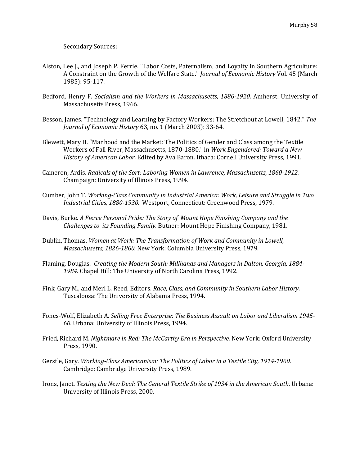Secondary Sources:

- Alston, Lee J., and Joseph P. Ferrie. "Labor Costs, Paternalism, and Loyalty in Southern Agriculture: A Constraint on the Growth of the Welfare State." *Journal of Economic History* Vol. 45 (March 1985): 95-117.
- Bedford, Henry F. *Socialism and the Workers in Massachusetts, 1886-1920.* Amherst: University of Massachusetts Press, 1966.
- Besson, James. "Technology and Learning by Factory Workers: The Stretchout at Lowell, 1842." *The Journal of Economic History* 63, no. 1 (March 2003): 33-64.
- Blewett, Mary H. "Manhood and the Market: The Politics of Gender and Class among the Textile Workers of Fall River, Massachusetts, 1870-1880." in *Work Engendered: Toward a New History of American Labor,* Edited by Ava Baron. Ithaca: Cornell University Press, 1991.
- Cameron, Ardis. *Radicals of the Sort: Laboring Women in Lawrence, Massachusetts, 1860-1912.*  Champaign: University of Illinois Press, 1994.
- Cumber, John T. *Working-Class Community in Industrial America: Work, Leisure and Struggle in Two Industrial Cities, 1880-1930.* Westport, Connecticut: Greenwood Press, 1979.
- Davis, Burke. *A Fierce Personal Pride: The Story of Mount Hope Finishing Company and the Challenges to its Founding Family.* Butner: Mount Hope Finishing Company, 1981.
- Dublin, Thomas. *Women at Work: The Transformation of Work and Community in Lowell, Massachusetts, 1826-1860.* New York: Columbia University Press, 1979.
- Flaming, Douglas. *Creating the Modern South: Millhands and Managers in Dalton, Georgia, 1884- 1984.* Chapel Hill: The University of North Carolina Press, 1992.
- Fink, Gary M., and Merl L. Reed, Editors. *Race, Class, and Community in Southern Labor History.*  Tuscaloosa: The University of Alabama Press, 1994.
- Fones-Wolf, Elizabeth A. *Selling Free Enterprise: The Business Assault on Labor and Liberalism 1945- 60.* Urbana: University of Illinois Press, 1994.
- Fried, Richard M. *Nightmare in Red: The McCarthy Era in Perspective.* New York: Oxford University Press, 1990.
- Gerstle, Gary. *Working-Class Americanism: The Politics of Labor in a Textile City, 1914-1960.*  Cambridge: Cambridge University Press, 1989.
- Irons, Janet. *Testing the New Deal: The General Textile Strike of 1934 in the American South.* Urbana: University of Illinois Press, 2000.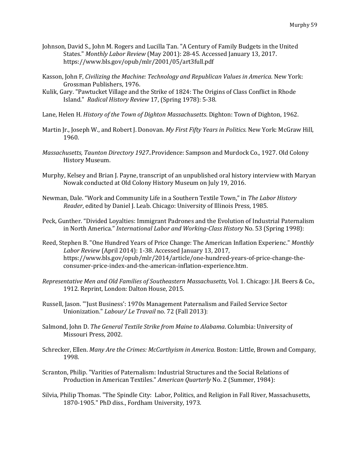- Johnson, David S., John M. Rogers and Lucilla Tan. "A Century of Family Budgets in the United States." *Monthly Labor Review* (May 2001): 28-45. Accessed January 13, 2017. https://www.bls.gov/opub/mlr/2001/05/art3full.pdf
- Kasson, John F, *Civilizing the Machine: Technology and Republican Values in America.* New York: Grossman Publishers, 1976.
- Kulik, Gary. "Pawtucket Village and the Strike of 1824: The Origins of Class Conflict in Rhode Island." *Radical History Review* 17, (Spring 1978): 5-38.

Lane, Helen H. *History of the Town of Dighton Massachusetts*. Dighton: Town of Dighton, 1962.

- Martin Jr., Joseph W., and Robert J. Donovan. *My First Fifty Years in Politics.* New York: McGraw Hill, 1960.
- *Massachusetts, Taunton Directory 1927.*.Providence: Sampson and Murdock Co., 1927. Old Colony History Museum.
- Murphy, Kelsey and Brian J. Payne, transcript of an unpublished oral history interview with Maryan Nowak conducted at Old Colony History Museum on July 19, 2016.
- Newman, Dale. "Work and Community Life in a Southern Textile Town," in *The Labor History Reader*, edited by Daniel J. Leab. Chicago: University of Illinois Press, 1985.
- Peck, Gunther. "Divided Loyalties: Immigrant Padrones and the Evolution of Industrial Paternalism in North America." *International Labor and Working-Class History* No. 53 (Spring 1998):
- Reed, Stephen B. "One Hundred Years of Price Change: The American Inflation Experienc." *Monthly Labor Review* (April 2014): 1-38. Accessed January 13, 2017, https://www.bls.gov/opub/mlr/2014/article/one-hundred-years-of-price-change-theconsumer-price-index-and-the-american-inflation-experience.htm.
- *Representative Men and Old Families of Southeastern Massachusetts,* Vol. 1. Chicago: J.H. Beers & Co., 1912. Reprint, London: Dalton House, 2015.
- Russell, Jason. "'Just Business': 1970s Management Paternalism and Failed Service Sector Unionization." *Labour/ Le Travail* no. 72 (Fall 2013):
- Salmond, John D. *The General Textile Strike from Maine to Alabama*. Columbia: University of Missouri Press, 2002.
- Schrecker, Ellen. *Many Are the Crimes: McCarthyism in America.* Boston: Little, Brown and Company, 1998.
- Scranton, Philip. "Varities of Paternalism: Industrial Structures and the Social Relations of Production in American Textiles." *American Quarterly* No. 2 (Summer, 1984):
- Silvia, Philip Thomas. "The Spindle City: Labor, Politics, and Religion in Fall River, Massachusetts, 1870-1905." PhD diss., Fordham University, 1973.